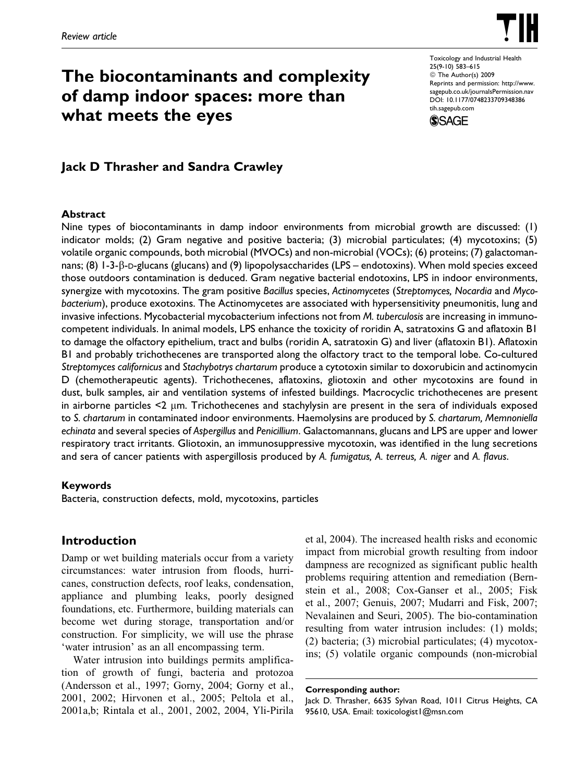# The biocontaminants and complexity of damp indoor spaces: more than what meets the eyes

Toxicology and Industrial Health 25(9-10) 583–615 <sup>©</sup> The Author(s) 2009 Reprints and permission: http://www. sagepub.co.uk/journalsPermission.nav DOI: 10.1177/0748233709348386 tih.sagepub.com



# Jack D Thrasher and Sandra Crawley

#### Abstract

Nine types of biocontaminants in damp indoor environments from microbial growth are discussed: (1) indicator molds; (2) Gram negative and positive bacteria; (3) microbial particulates; (4) mycotoxins; (5) volatile organic compounds, both microbial (MVOCs) and non-microbial (VOCs); (6) proteins; (7) galactomannans; (8) 1-3-β-D-glucans (glucans) and (9) lipopolysaccharides (LPS – endotoxins). When mold species exceed those outdoors contamination is deduced. Gram negative bacterial endotoxins, LPS in indoor environments, synergize with mycotoxins. The gram positive Bacillus species, Actinomycetes (Streptomyces, Nocardia and Mycobacterium), produce exotoxins. The Actinomycetes are associated with hypersensitivity pneumonitis, lung and invasive infections. Mycobacterial mycobacterium infections not from M. tuberculosis are increasing in immunocompetent individuals. In animal models, LPS enhance the toxicity of roridin A, satratoxins G and aflatoxin B1 to damage the olfactory epithelium, tract and bulbs (roridin A, satratoxin G) and liver (aflatoxin B1). Aflatoxin B1 and probably trichothecenes are transported along the olfactory tract to the temporal lobe. Co-cultured Streptomyces californicus and Stachybotrys chartarum produce a cytotoxin similar to doxorubicin and actinomycin D (chemotherapeutic agents). Trichothecenes, aflatoxins, gliotoxin and other mycotoxins are found in dust, bulk samples, air and ventilation systems of infested buildings. Macrocyclic trichothecenes are present in airborne particles  $\leq 2$   $\mu$ m. Trichothecenes and stachylysin are present in the sera of individuals exposed to S. chartarum in contaminated indoor environments. Haemolysins are produced by S. chartarum, Memnoniella echinata and several species of Aspergillus and Penicillium. Galactomannans, glucans and LPS are upper and lower respiratory tract irritants. Gliotoxin, an immunosuppressive mycotoxin, was identified in the lung secretions and sera of cancer patients with aspergillosis produced by A. fumigatus, A. terreus, A. niger and A. flavus.

#### Keywords

Bacteria, construction defects, mold, mycotoxins, particles

# Introduction

Damp or wet building materials occur from a variety circumstances: water intrusion from floods, hurricanes, construction defects, roof leaks, condensation, appliance and plumbing leaks, poorly designed foundations, etc. Furthermore, building materials can become wet during storage, transportation and/or construction. For simplicity, we will use the phrase 'water intrusion' as an all encompassing term.

Water intrusion into buildings permits amplification of growth of fungi, bacteria and protozoa (Andersson et al., 1997; Gorny, 2004; Gorny et al., 2001, 2002; Hirvonen et al., 2005; Peltola et al., 2001a,b; Rintala et al., 2001, 2002, 2004, Yli-Pirila et al, 2004). The increased health risks and economic impact from microbial growth resulting from indoor dampness are recognized as significant public health problems requiring attention and remediation (Bernstein et al., 2008; Cox-Ganser et al., 2005; Fisk et al., 2007; Genuis, 2007; Mudarri and Fisk, 2007; Nevalainen and Seuri, 2005). The bio-contamination resulting from water intrusion includes: (1) molds; (2) bacteria; (3) microbial particulates; (4) mycotoxins; (5) volatile organic compounds (non-microbial

#### Corresponding author:

Jack D. Thrasher, 6635 Sylvan Road, 1011 Citrus Heights, CA 95610, USA. Email: toxicologist1@msn.com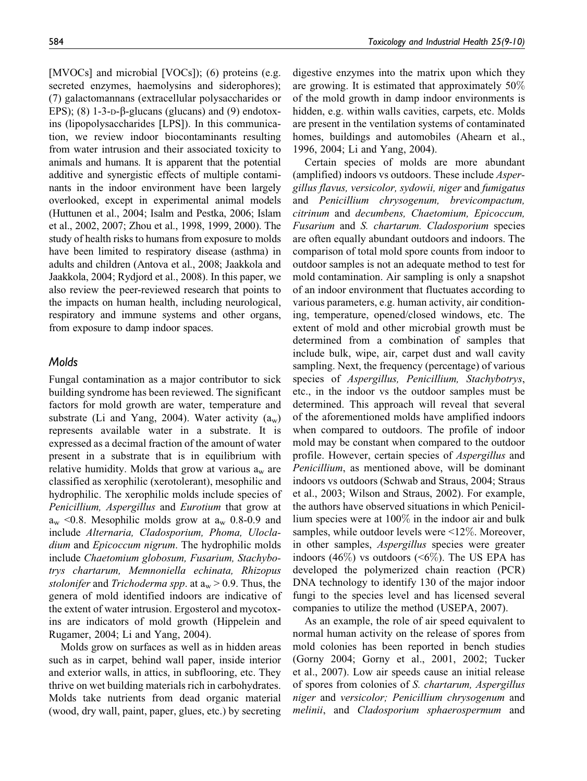[MVOCs] and microbial [VOCs]); (6) proteins (e.g. secreted enzymes, haemolysins and siderophores); (7) galactomannans (extracellular polysaccharides or EPS); (8) 1-3-D- $\beta$ -glucans (glucans) and (9) endotoxins (lipopolysaccharides [LPS]). In this communication, we review indoor biocontaminants resulting from water intrusion and their associated toxicity to animals and humans. It is apparent that the potential additive and synergistic effects of multiple contaminants in the indoor environment have been largely overlooked, except in experimental animal models (Huttunen et al., 2004; Isalm and Pestka, 2006; Islam et al., 2002, 2007; Zhou et al., 1998, 1999, 2000). The study of health risks to humans from exposure to molds have been limited to respiratory disease (asthma) in adults and children (Antova et al., 2008; Jaakkola and Jaakkola, 2004; Rydjord et al., 2008). In this paper, we also review the peer-reviewed research that points to the impacts on human health, including neurological, respiratory and immune systems and other organs, from exposure to damp indoor spaces.

### Molds

Fungal contamination as a major contributor to sick building syndrome has been reviewed. The significant factors for mold growth are water, temperature and substrate (Li and Yang, 2004). Water activity  $(a_w)$ represents available water in a substrate. It is expressed as a decimal fraction of the amount of water present in a substrate that is in equilibrium with relative humidity. Molds that grow at various  $a_w$  are classified as xerophilic (xerotolerant), mesophilic and hydrophilic. The xerophilic molds include species of Penicillium, Aspergillus and Eurotium that grow at  $a_w$  <0.8. Mesophilic molds grow at  $a_w$  0.8-0.9 and include Alternaria, Cladosporium, Phoma, Ulocladium and Epicoccum nigrum. The hydrophilic molds include Chaetomium globosum, Fusarium, Stachybotrys chartarum, Memnoniella echinata, Rhizopus stolonifer and Trichoderma spp. at  $a_w > 0.9$ . Thus, the genera of mold identified indoors are indicative of the extent of water intrusion. Ergosterol and mycotoxins are indicators of mold growth (Hippelein and Rugamer, 2004; Li and Yang, 2004).

Molds grow on surfaces as well as in hidden areas such as in carpet, behind wall paper, inside interior and exterior walls, in attics, in subflooring, etc. They thrive on wet building materials rich in carbohydrates. Molds take nutrients from dead organic material (wood, dry wall, paint, paper, glues, etc.) by secreting

digestive enzymes into the matrix upon which they are growing. It is estimated that approximately 50% of the mold growth in damp indoor environments is hidden, e.g. within walls cavities, carpets, etc. Molds are present in the ventilation systems of contaminated homes, buildings and automobiles (Ahearn et al., 1996, 2004; Li and Yang, 2004).

Certain species of molds are more abundant (amplified) indoors vs outdoors. These include Aspergillus flavus, versicolor, sydowii, niger and fumigatus and Penicillium chrysogenum, brevicompactum, citrinum and decumbens, Chaetomium, Epicoccum, Fusarium and S. chartarum. Cladosporium species are often equally abundant outdoors and indoors. The comparison of total mold spore counts from indoor to outdoor samples is not an adequate method to test for mold contamination. Air sampling is only a snapshot of an indoor environment that fluctuates according to various parameters, e.g. human activity, air conditioning, temperature, opened/closed windows, etc. The extent of mold and other microbial growth must be determined from a combination of samples that include bulk, wipe, air, carpet dust and wall cavity sampling. Next, the frequency (percentage) of various species of Aspergillus, Penicillium, Stachybotrys, etc., in the indoor vs the outdoor samples must be determined. This approach will reveal that several of the aforementioned molds have amplified indoors when compared to outdoors. The profile of indoor mold may be constant when compared to the outdoor profile. However, certain species of Aspergillus and Penicillium, as mentioned above, will be dominant indoors vs outdoors (Schwab and Straus, 2004; Straus et al., 2003; Wilson and Straus, 2002). For example, the authors have observed situations in which Penicillium species were at 100% in the indoor air and bulk samples, while outdoor levels were <12%. Moreover, in other samples, Aspergillus species were greater indoors (46%) vs outdoors ( $\leq 6\%$ ). The US EPA has developed the polymerized chain reaction (PCR) DNA technology to identify 130 of the major indoor fungi to the species level and has licensed several companies to utilize the method (USEPA, 2007).

As an example, the role of air speed equivalent to normal human activity on the release of spores from mold colonies has been reported in bench studies (Gorny 2004; Gorny et al., 2001, 2002; Tucker et al., 2007). Low air speeds cause an initial release of spores from colonies of S. chartarum, Aspergillus niger and versicolor; Penicillium chrysogenum and melinii, and Cladosporium sphaerospermum and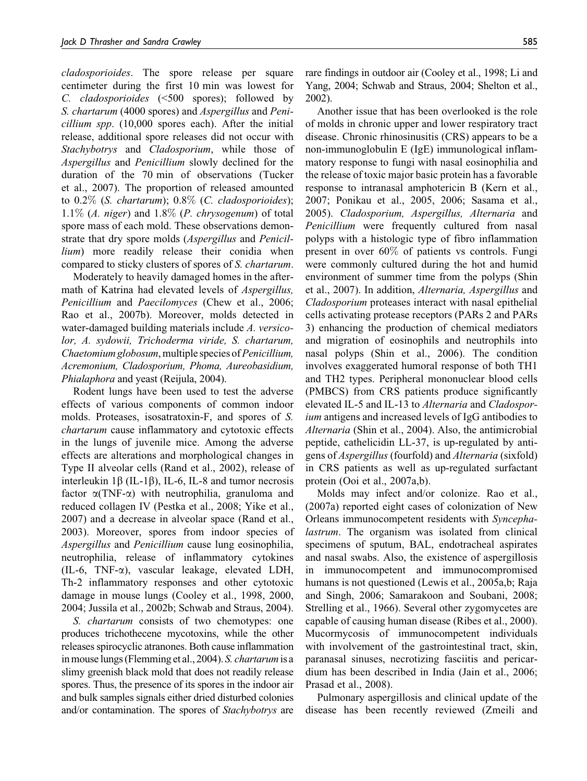cladosporioides. The spore release per square centimeter during the first 10 min was lowest for C. cladosporioides (<500 spores); followed by S. chartarum (4000 spores) and Aspergillus and Penicillium spp. (10,000 spores each). After the initial release, additional spore releases did not occur with Stachybotrys and Cladosporium, while those of Aspergillus and Penicillium slowly declined for the duration of the 70 min of observations (Tucker et al., 2007). The proportion of released amounted to  $0.2\%$  (S. chartarum);  $0.8\%$  (C. cladosporioides);  $1.1\%$  (A. niger) and  $1.8\%$  (P. chrysogenum) of total spore mass of each mold. These observations demonstrate that dry spore molds (Aspergillus and Penicillium) more readily release their conidia when compared to sticky clusters of spores of S. chartarum.

Moderately to heavily damaged homes in the aftermath of Katrina had elevated levels of Aspergillus, Penicillium and Paecilomyces (Chew et al., 2006; Rao et al., 2007b). Moreover, molds detected in water-damaged building materials include A. versicolor, A. sydowii, Trichoderma viride, S. chartarum, Chaetomium globosum, multiple species of Penicillium, Acremonium, Cladosporium, Phoma, Aureobasidium, Phialaphora and yeast (Reijula, 2004).

Rodent lungs have been used to test the adverse effects of various components of common indoor molds. Proteases, isosatratoxin-F, and spores of S. chartarum cause inflammatory and cytotoxic effects in the lungs of juvenile mice. Among the adverse effects are alterations and morphological changes in Type II alveolar cells (Rand et al., 2002), release of interleukin  $1\beta$  (IL-1 $\beta$ ), IL-6, IL-8 and tumor necrosis factor  $\alpha(TNF-\alpha)$  with neutrophilia, granuloma and reduced collagen IV (Pestka et al., 2008; Yike et al., 2007) and a decrease in alveolar space (Rand et al., 2003). Moreover, spores from indoor species of Aspergillus and Penicillium cause lung eosinophilia, neutrophilia, release of inflammatory cytokines (IL-6, TNF-a), vascular leakage, elevated LDH, Th-2 inflammatory responses and other cytotoxic damage in mouse lungs (Cooley et al., 1998, 2000, 2004; Jussila et al., 2002b; Schwab and Straus, 2004).

S. chartarum consists of two chemotypes: one produces trichothecene mycotoxins, while the other releases spirocyclic atranones. Both cause inflammation in mouse lungs (Flemming et al., 2004). S. chartarumis a slimy greenish black mold that does not readily release spores. Thus, the presence of its spores in the indoor air and bulk samples signals either dried disturbed colonies and/or contamination. The spores of Stachybotrys are

rare findings in outdoor air (Cooley et al., 1998; Li and Yang, 2004; Schwab and Straus, 2004; Shelton et al., 2002).

Another issue that has been overlooked is the role of molds in chronic upper and lower respiratory tract disease. Chronic rhinosinusitis (CRS) appears to be a non-immunoglobulin E (IgE) immunological inflammatory response to fungi with nasal eosinophilia and the release of toxic major basic protein has a favorable response to intranasal amphotericin B (Kern et al., 2007; Ponikau et al., 2005, 2006; Sasama et al., 2005). Cladosporium, Aspergillus, Alternaria and Penicillium were frequently cultured from nasal polyps with a histologic type of fibro inflammation present in over 60% of patients vs controls. Fungi were commonly cultured during the hot and humid environment of summer time from the polyps (Shin et al., 2007). In addition, Alternaria, Aspergillus and Cladosporium proteases interact with nasal epithelial cells activating protease receptors (PARs 2 and PARs 3) enhancing the production of chemical mediators and migration of eosinophils and neutrophils into nasal polyps (Shin et al., 2006). The condition involves exaggerated humoral response of both TH1 and TH2 types. Peripheral mononuclear blood cells (PMBCS) from CRS patients produce significantly elevated IL-5 and IL-13 to Alternaria and Cladosporium antigens and increased levels of IgG antibodies to Alternaria (Shin et al., 2004). Also, the antimicrobial peptide, cathelicidin LL-37, is up-regulated by antigens of Aspergillus (fourfold) and Alternaria (sixfold) in CRS patients as well as up-regulated surfactant protein (Ooi et al., 2007a,b).

Molds may infect and/or colonize. Rao et al., (2007a) reported eight cases of colonization of New Orleans immunocompetent residents with Syncephalastrum. The organism was isolated from clinical specimens of sputum, BAL, endotracheal aspirates and nasal swabs. Also, the existence of aspergillosis in immunocompetent and immunocompromised humans is not questioned (Lewis et al., 2005a,b; Raja and Singh, 2006; Samarakoon and Soubani, 2008; Strelling et al., 1966). Several other zygomycetes are capable of causing human disease (Ribes et al., 2000). Mucormycosis of immunocompetent individuals with involvement of the gastrointestinal tract, skin, paranasal sinuses, necrotizing fasciitis and pericardium has been described in India (Jain et al., 2006; Prasad et al., 2008).

Pulmonary aspergillosis and clinical update of the disease has been recently reviewed (Zmeili and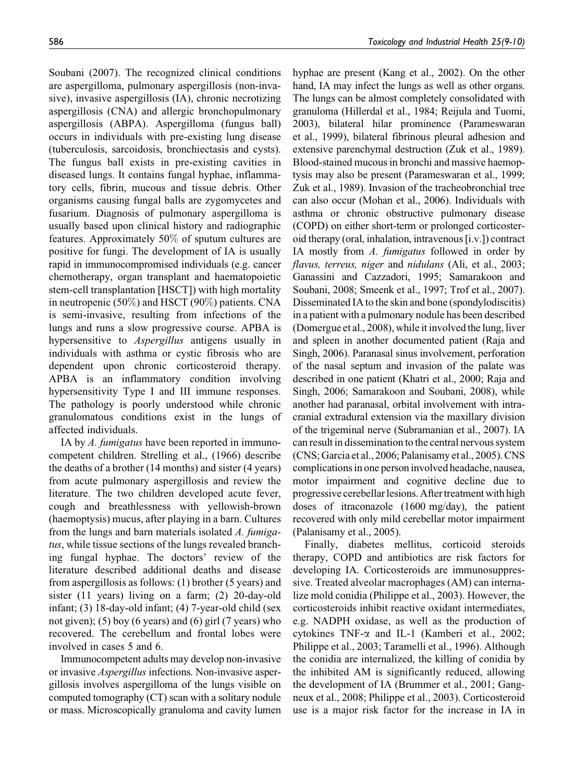Soubani (2007). The recognized clinical conditions are aspergilloma, pulmonary aspergillosis (non-invasive), invasive aspergillosis (IA), chronic necrotizing aspergillosis (CNA) and allergic bronchopulmonary aspergillosis (ABPA). Aspergilloma (fungus ball) occurs in individuals with pre-existing lung disease (tuberculosis, sarcoidosis, bronchiectasis and cysts). The fungus ball exists in pre-existing cavities in diseased lungs. It contains fungal hyphae, inflammatory cells, fibrin, mucous and tissue debris. Other organisms causing fungal balls are zygomycetes and fusarium. Diagnosis of pulmonary aspergilloma is usually based upon clinical history and radiographic features. Approximately 50% of sputum cultures are positive for fungi. The development of IA is usually rapid in immunocompromised individuals (e.g. cancer chemotherapy, organ transplant and haematopoietic stem-cell transplantation [HSCT]) with high mortality in neutropenic (50%) and HSCT (90%) patients. CNA is semi-invasive, resulting from infections of the lungs and runs a slow progressive course. APBA is hypersensitive to *Aspergillus* antigens usually in individuals with asthma or cystic fibrosis who are dependent upon chronic corticosteroid therapy. APBA is an inflammatory condition involving hypersensitivity Type I and III immune responses. The pathology is poorly understood while chronic granulomatous conditions exist in the lungs of affected individuals.

IA by A. fumigatus have been reported in immunocompetent children. Strelling et al., (1966) describe the deaths of a brother (14 months) and sister (4 years) from acute pulmonary aspergillosis and review the literature. The two children developed acute fever, cough and breathlessness with yellowish-brown (haemoptysis) mucus, after playing in a barn. Cultures from the lungs and barn materials isolated A. fumigatus, while tissue sections of the lungs revealed branching fungal hyphae. The doctors' review of the literature described additional deaths and disease from aspergillosis as follows: (1) brother (5 years) and sister (11 years) living on a farm; (2) 20-day-old infant; (3) 18-day-old infant; (4) 7-year-old child (sex not given); (5) boy (6 years) and (6) girl (7 years) who recovered. The cerebellum and frontal lobes were involved in cases 5 and 6.

Immunocompetent adults may develop non-invasive or invasive Aspergillus infections. Non-invasive aspergillosis involves aspergilloma of the lungs visible on computed tomography (CT) scan with a solitary nodule or mass. Microscopically granuloma and cavity lumen

hyphae are present (Kang et al., 2002). On the other hand, IA may infect the lungs as well as other organs. The lungs can be almost completely consolidated with granuloma (Hillerdal et al., 1984; Reijula and Tuomi, 2003), bilateral hilar prominence (Parameswaran et al., 1999), bilateral fibrinous pleural adhesion and extensive parenchymal destruction (Zuk et al., 1989). Blood-stained mucous in bronchi and massive haemoptysis may also be present (Parameswaran et al., 1999; Zuk et al., 1989). Invasion of the tracheobronchial tree can also occur (Mohan et al., 2006). Individuals with asthma or chronic obstructive pulmonary disease (COPD) on either short-term or prolonged corticosteroid therapy (oral, inhalation, intravenous [i.v.]) contract IA mostly from A. fumigatus followed in order by flavus, terreus, niger and nidulans (Ali, et al., 2003; Ganassini and Cazzadori, 1995; Samarakoon and Soubani, 2008; Smeenk et al., 1997; Trof et al., 2007). Disseminated IA to the skin and bone (spondylodiscitis) in a patient with a pulmonary nodule has been described (Domergue et al., 2008), while it involved the lung, liver and spleen in another documented patient (Raja and Singh, 2006). Paranasal sinus involvement, perforation of the nasal septum and invasion of the palate was described in one patient (Khatri et al., 2000; Raja and Singh, 2006; Samarakoon and Soubani, 2008), while another had paranasal, orbital involvement with intracranial extradural extension via the maxillary division of the trigeminal nerve (Subramanian et al., 2007). IA can result in dissemination to the central nervous system (CNS; Garcia et al., 2006; Palanisamy et al., 2005). CNS complications in one person involved headache, nausea, motor impairment and cognitive decline due to progressive cerebellar lesions. After treatment with high doses of itraconazole (1600 mg/day), the patient recovered with only mild cerebellar motor impairment (Palanisamy et al., 2005).

Finally, diabetes mellitus, corticoid steroids therapy, COPD and antibiotics are risk factors for developing IA. Corticosteroids are immunosuppressive. Treated alveolar macrophages (AM) can internalize mold conidia (Philippe et al., 2003). However, the corticosteroids inhibit reactive oxidant intermediates, e.g. NADPH oxidase, as well as the production of cytokines TNF- $\alpha$  and IL-1 (Kamberi et al., 2002; Philippe et al., 2003; Taramelli et al., 1996). Although the conidia are internalized, the killing of conidia by the inhibited AM is significantly reduced, allowing the development of IA (Brummer et al., 2001; Gangneux et al., 2008; Philippe et al., 2003). Corticosteroid use is a major risk factor for the increase in IA in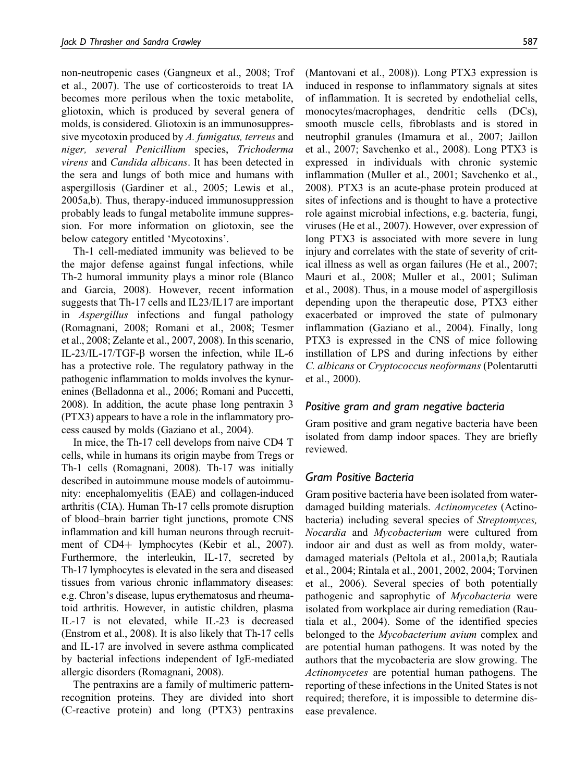non-neutropenic cases (Gangneux et al., 2008; Trof et al., 2007). The use of corticosteroids to treat IA becomes more perilous when the toxic metabolite, gliotoxin, which is produced by several genera of molds, is considered. Gliotoxin is an immunosuppressive mycotoxin produced by A. fumigatus, terreus and niger, several Penicillium species, Trichoderma virens and Candida albicans. It has been detected in the sera and lungs of both mice and humans with aspergillosis (Gardiner et al., 2005; Lewis et al., 2005a,b). Thus, therapy-induced immunosuppression probably leads to fungal metabolite immune suppression. For more information on gliotoxin, see the below category entitled 'Mycotoxins'.

Th-1 cell-mediated immunity was believed to be the major defense against fungal infections, while Th-2 humoral immunity plays a minor role (Blanco and Garcia, 2008). However, recent information suggests that Th-17 cells and IL23/IL17 are important in Aspergillus infections and fungal pathology (Romagnani, 2008; Romani et al., 2008; Tesmer et al., 2008; Zelante et al., 2007, 2008). In this scenario, IL-23/IL-17/TGF- $\beta$  worsen the infection, while IL-6 has a protective role. The regulatory pathway in the pathogenic inflammation to molds involves the kynurenines (Belladonna et al., 2006; Romani and Puccetti, 2008). In addition, the acute phase long pentraxin 3 (PTX3) appears to have a role in the inflammatory process caused by molds (Gaziano et al., 2004).

In mice, the Th-17 cell develops from naive CD4 T cells, while in humans its origin maybe from Tregs or Th-1 cells (Romagnani, 2008). Th-17 was initially described in autoimmune mouse models of autoimmunity: encephalomyelitis (EAE) and collagen-induced arthritis (CIA). Human Th-17 cells promote disruption of blood–brain barrier tight junctions, promote CNS inflammation and kill human neurons through recruitment of  $CD4$  lymphocytes (Kebir et al., 2007). Furthermore, the interleukin, IL-17, secreted by Th-17 lymphocytes is elevated in the sera and diseased tissues from various chronic inflammatory diseases: e.g. Chron's disease, lupus erythematosus and rheumatoid arthritis. However, in autistic children, plasma IL-17 is not elevated, while IL-23 is decreased (Enstrom et al., 2008). It is also likely that Th-17 cells and IL-17 are involved in severe asthma complicated by bacterial infections independent of IgE-mediated allergic disorders (Romagnani, 2008).

The pentraxins are a family of multimeric patternrecognition proteins. They are divided into short (C-reactive protein) and long (PTX3) pentraxins

(Mantovani et al., 2008)). Long PTX3 expression is induced in response to inflammatory signals at sites of inflammation. It is secreted by endothelial cells, monocytes/macrophages, dendritic cells (DCs), smooth muscle cells, fibroblasts and is stored in neutrophil granules (Imamura et al., 2007; Jaillon et al., 2007; Savchenko et al., 2008). Long PTX3 is expressed in individuals with chronic systemic inflammation (Muller et al., 2001; Savchenko et al., 2008). PTX3 is an acute-phase protein produced at sites of infections and is thought to have a protective role against microbial infections, e.g. bacteria, fungi, viruses (He et al., 2007). However, over expression of long PTX3 is associated with more severe in lung injury and correlates with the state of severity of critical illness as well as organ failures (He et al., 2007; Mauri et al., 2008; Muller et al., 2001; Suliman et al., 2008). Thus, in a mouse model of aspergillosis depending upon the therapeutic dose, PTX3 either exacerbated or improved the state of pulmonary inflammation (Gaziano et al., 2004). Finally, long PTX3 is expressed in the CNS of mice following instillation of LPS and during infections by either C. albicans or Cryptococcus neoformans (Polentarutti et al., 2000).

#### Positive gram and gram negative bacteria

Gram positive and gram negative bacteria have been isolated from damp indoor spaces. They are briefly reviewed.

#### Gram Positive Bacteria

Gram positive bacteria have been isolated from waterdamaged building materials. Actinomycetes (Actinobacteria) including several species of Streptomyces, Nocardia and Mycobacterium were cultured from indoor air and dust as well as from moldy, waterdamaged materials (Peltola et al., 2001a,b; Rautiala et al., 2004; Rintala et al., 2001, 2002, 2004; Torvinen et al., 2006). Several species of both potentially pathogenic and saprophytic of Mycobacteria were isolated from workplace air during remediation (Rautiala et al., 2004). Some of the identified species belonged to the Mycobacterium avium complex and are potential human pathogens. It was noted by the authors that the mycobacteria are slow growing. The Actinomycetes are potential human pathogens. The reporting of these infections in the United States is not required; therefore, it is impossible to determine disease prevalence.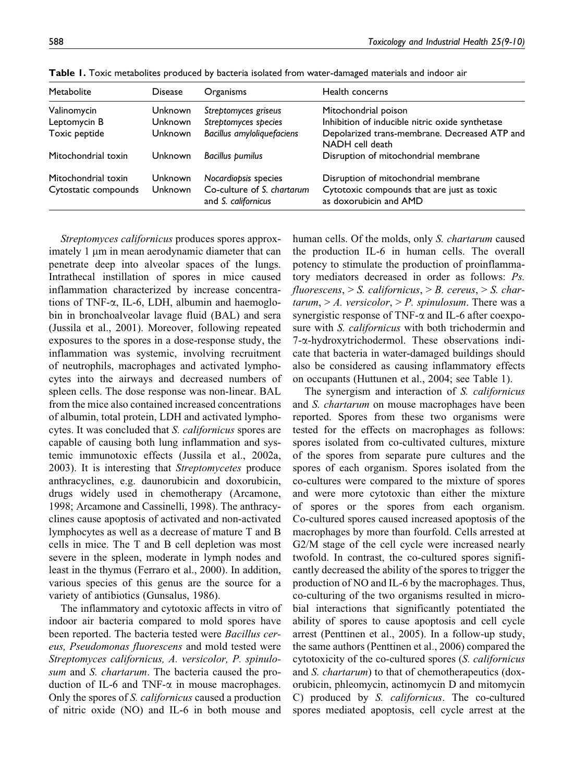| Metabolite           | <b>Disease</b> | Organisms                                         | Health concerns                                                      |
|----------------------|----------------|---------------------------------------------------|----------------------------------------------------------------------|
| Valinomycin          | Unknown        | Streptomyces griseus                              | Mitochondrial poison                                                 |
| Leptomycin B         | Unknown        | Streptomyces species                              | Inhibition of inducible nitric oxide synthetase                      |
| Toxic peptide        | Unknown        | Bacillus amyloliquefaciens                        | Depolarized trans-membrane. Decreased ATP and<br>NADH cell death     |
| Mitochondrial toxin  | Unknown        | <b>Bacillus bumilus</b>                           | Disruption of mitochondrial membrane                                 |
| Mitochondrial toxin  | Unknown        | Nocardiopsis species                              | Disruption of mitochondrial membrane                                 |
| Cytostatic compounds | <b>Unknown</b> | Co-culture of S. chartarum<br>and S. californicus | Cytotoxic compounds that are just as toxic<br>as doxorubicin and AMD |

Table 1. Toxic metabolites produced by bacteria isolated from water-damaged materials and indoor air

Streptomyces californicus produces spores approximately 1  $\mu$ m in mean aerodynamic diameter that can penetrate deep into alveolar spaces of the lungs. Intrathecal instillation of spores in mice caused inflammation characterized by increase concentrations of TNF- $\alpha$ , IL-6, LDH, albumin and haemoglobin in bronchoalveolar lavage fluid (BAL) and sera (Jussila et al., 2001). Moreover, following repeated exposures to the spores in a dose-response study, the inflammation was systemic, involving recruitment of neutrophils, macrophages and activated lymphocytes into the airways and decreased numbers of spleen cells. The dose response was non-linear. BAL from the mice also contained increased concentrations of albumin, total protein, LDH and activated lymphocytes. It was concluded that *S. californicus* spores are capable of causing both lung inflammation and systemic immunotoxic effects (Jussila et al., 2002a, 2003). It is interesting that Streptomycetes produce anthracyclines, e.g. daunorubicin and doxorubicin, drugs widely used in chemotherapy (Arcamone, 1998; Arcamone and Cassinelli, 1998). The anthracyclines cause apoptosis of activated and non-activated lymphocytes as well as a decrease of mature T and B cells in mice. The T and B cell depletion was most severe in the spleen, moderate in lymph nodes and least in the thymus (Ferraro et al., 2000). In addition, various species of this genus are the source for a variety of antibiotics (Gunsalus, 1986).

The inflammatory and cytotoxic affects in vitro of indoor air bacteria compared to mold spores have been reported. The bacteria tested were *Bacillus cer*eus, Pseudomonas fluorescens and mold tested were Streptomyces californicus, A. versicolor, P. spinulosum and *S. chartarum*. The bacteria caused the production of IL-6 and TNF- $\alpha$  in mouse macrophages. Only the spores of S. californicus caused a production of nitric oxide (NO) and IL-6 in both mouse and

human cells. Of the molds, only S. chartarum caused the production IL-6 in human cells. The overall potency to stimulate the production of proinflammatory mediators decreased in order as follows: Ps. fluorescens,  $> S$ . californicus,  $> B$ . cereus,  $> S$ . chartarum,  $> A$ . versicolor,  $> P$ . spinulosum. There was a synergistic response of TNF- $\alpha$  and IL-6 after coexposure with *S. californicus* with both trichodermin and  $7$ - $\alpha$ -hydroxytrichodermol. These observations indicate that bacteria in water-damaged buildings should also be considered as causing inflammatory effects on occupants (Huttunen et al., 2004; see Table 1).

The synergism and interaction of S. californicus and S. chartarum on mouse macrophages have been reported. Spores from these two organisms were tested for the effects on macrophages as follows: spores isolated from co-cultivated cultures, mixture of the spores from separate pure cultures and the spores of each organism. Spores isolated from the co-cultures were compared to the mixture of spores and were more cytotoxic than either the mixture of spores or the spores from each organism. Co-cultured spores caused increased apoptosis of the macrophages by more than fourfold. Cells arrested at G2/M stage of the cell cycle were increased nearly twofold. In contrast, the co-cultured spores significantly decreased the ability of the spores to trigger the production of NO and IL-6 by the macrophages. Thus, co-culturing of the two organisms resulted in microbial interactions that significantly potentiated the ability of spores to cause apoptosis and cell cycle arrest (Penttinen et al., 2005). In a follow-up study, the same authors (Penttinen et al., 2006) compared the cytotoxicity of the co-cultured spores (S. californicus and S. chartarum) to that of chemotherapeutics (doxorubicin, phleomycin, actinomycin D and mitomycin C) produced by S. californicus. The co-cultured spores mediated apoptosis, cell cycle arrest at the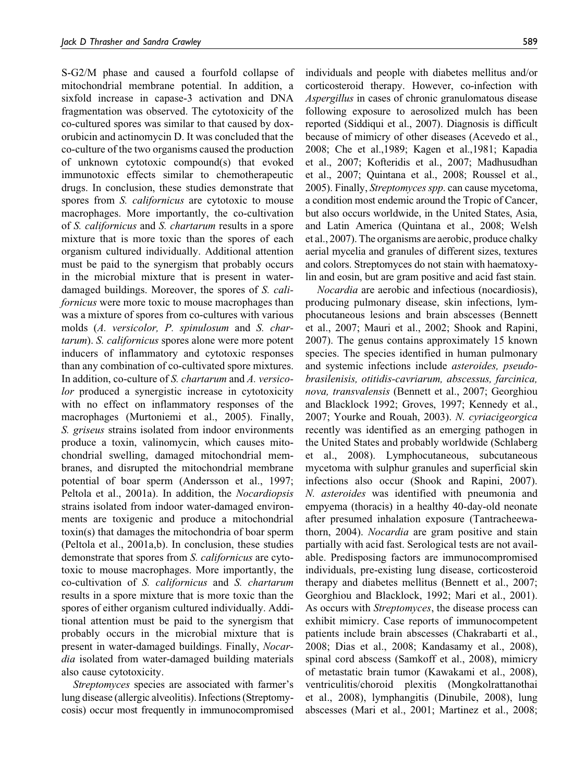S-G2/M phase and caused a fourfold collapse of mitochondrial membrane potential. In addition, a sixfold increase in capase-3 activation and DNA fragmentation was observed. The cytotoxicity of the co-cultured spores was similar to that caused by doxorubicin and actinomycin D. It was concluded that the co-culture of the two organisms caused the production of unknown cytotoxic compound(s) that evoked immunotoxic effects similar to chemotherapeutic drugs. In conclusion, these studies demonstrate that spores from *S. californicus* are cytotoxic to mouse macrophages. More importantly, the co-cultivation of S. californicus and S. chartarum results in a spore mixture that is more toxic than the spores of each organism cultured individually. Additional attention must be paid to the synergism that probably occurs in the microbial mixture that is present in waterdamaged buildings. Moreover, the spores of S. californicus were more toxic to mouse macrophages than was a mixture of spores from co-cultures with various molds (A. versicolor, P. spinulosum and S. chartarum). S. californicus spores alone were more potent inducers of inflammatory and cytotoxic responses than any combination of co-cultivated spore mixtures. In addition, co-culture of S. chartarum and A. versicolor produced a synergistic increase in cytotoxicity with no effect on inflammatory responses of the macrophages (Murtoniemi et al., 2005). Finally, S. griseus strains isolated from indoor environments produce a toxin, valinomycin, which causes mitochondrial swelling, damaged mitochondrial membranes, and disrupted the mitochondrial membrane potential of boar sperm (Andersson et al., 1997; Peltola et al., 2001a). In addition, the Nocardiopsis strains isolated from indoor water-damaged environments are toxigenic and produce a mitochondrial toxin(s) that damages the mitochondria of boar sperm (Peltola et al., 2001a,b). In conclusion, these studies demonstrate that spores from S. californicus are cytotoxic to mouse macrophages. More importantly, the co-cultivation of S. californicus and S. chartarum results in a spore mixture that is more toxic than the spores of either organism cultured individually. Additional attention must be paid to the synergism that probably occurs in the microbial mixture that is present in water-damaged buildings. Finally, Nocardia isolated from water-damaged building materials also cause cytotoxicity.

Streptomyces species are associated with farmer's lung disease (allergic alveolitis). Infections (Streptomycosis) occur most frequently in immunocompromised individuals and people with diabetes mellitus and/or corticosteroid therapy. However, co-infection with Aspergillus in cases of chronic granulomatous disease following exposure to aerosolized mulch has been reported (Siddiqui et al., 2007). Diagnosis is difficult because of mimicry of other diseases (Acevedo et al., 2008; Che et al.,1989; Kagen et al.,1981; Kapadia et al., 2007; Kofteridis et al., 2007; Madhusudhan et al., 2007; Quintana et al., 2008; Roussel et al., 2005). Finally, Streptomyces spp. can cause mycetoma, a condition most endemic around the Tropic of Cancer, but also occurs worldwide, in the United States, Asia, and Latin America (Quintana et al., 2008; Welsh et al., 2007). The organisms are aerobic, produce chalky aerial mycelia and granules of different sizes, textures and colors. Streptomyces do not stain with haematoxylin and eosin, but are gram positive and acid fast stain.

Nocardia are aerobic and infectious (nocardiosis), producing pulmonary disease, skin infections, lymphocutaneous lesions and brain abscesses (Bennett et al., 2007; Mauri et al., 2002; Shook and Rapini, 2007). The genus contains approximately 15 known species. The species identified in human pulmonary and systemic infections include asteroides, pseudobrasilenisis, otitidis-cavriarum, abscessus, farcinica, nova, transvalensis (Bennett et al., 2007; Georghiou and Blacklock 1992; Groves, 1997; Kennedy et al., 2007; Yourke and Rouah, 2003). N. cyriacigeorgica recently was identified as an emerging pathogen in the United States and probably worldwide (Schlaberg et al., 2008). Lymphocutaneous, subcutaneous mycetoma with sulphur granules and superficial skin infections also occur (Shook and Rapini, 2007). N. asteroides was identified with pneumonia and empyema (thoracis) in a healthy 40-day-old neonate after presumed inhalation exposure (Tantracheewathorn, 2004). Nocardia are gram positive and stain partially with acid fast. Serological tests are not available. Predisposing factors are immunocompromised individuals, pre-existing lung disease, corticosteroid therapy and diabetes mellitus (Bennett et al., 2007; Georghiou and Blacklock, 1992; Mari et al., 2001). As occurs with Streptomyces, the disease process can exhibit mimicry. Case reports of immunocompetent patients include brain abscesses (Chakrabarti et al., 2008; Dias et al., 2008; Kandasamy et al., 2008), spinal cord abscess (Samkoff et al., 2008), mimicry of metastatic brain tumor (Kawakami et al., 2008), ventriculitis/choroid plexitis (Mongkolrattanothai et al., 2008), lymphangitis (Dinubile, 2008), lung abscesses (Mari et al., 2001; Martinez et al., 2008;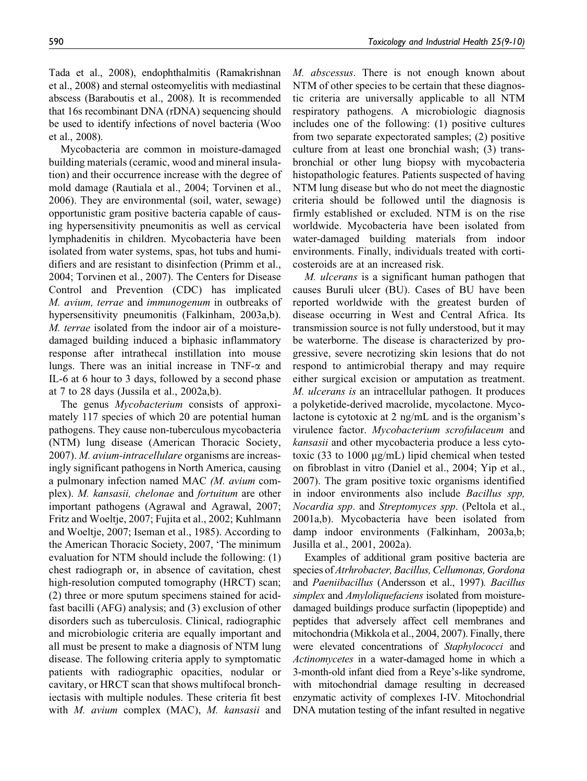Tada et al., 2008), endophthalmitis (Ramakrishnan et al., 2008) and sternal osteomyelitis with mediastinal abscess (Baraboutis et al., 2008). It is recommended that 16s recombinant DNA (rDNA) sequencing should be used to identify infections of novel bacteria (Woo et al., 2008).

Mycobacteria are common in moisture-damaged building materials (ceramic, wood and mineral insulation) and their occurrence increase with the degree of mold damage (Rautiala et al., 2004; Torvinen et al., 2006). They are environmental (soil, water, sewage) opportunistic gram positive bacteria capable of causing hypersensitivity pneumonitis as well as cervical lymphadenitis in children. Mycobacteria have been isolated from water systems, spas, hot tubs and humidifiers and are resistant to disinfection (Primm et al., 2004; Torvinen et al., 2007). The Centers for Disease Control and Prevention (CDC) has implicated M. avium, terrae and immunogenum in outbreaks of hypersensitivity pneumonitis (Falkinham, 2003a,b). M. terrae isolated from the indoor air of a moisturedamaged building induced a biphasic inflammatory response after intrathecal instillation into mouse lungs. There was an initial increase in TNF- $\alpha$  and IL-6 at 6 hour to 3 days, followed by a second phase at 7 to 28 days (Jussila et al., 2002a,b).

The genus *Mycobacterium* consists of approximately 117 species of which 20 are potential human pathogens. They cause non-tuberculous mycobacteria (NTM) lung disease (American Thoracic Society, 2007). M. avium-intracellulare organisms are increasingly significant pathogens in North America, causing a pulmonary infection named MAC (M. avium complex). M. kansasii, chelonae and fortuitum are other important pathogens (Agrawal and Agrawal, 2007; Fritz and Woeltje, 2007; Fujita et al., 2002; Kuhlmann and Woeltje, 2007; Iseman et al., 1985). According to the American Thoracic Society, 2007, 'The minimum evaluation for NTM should include the following: (1) chest radiograph or, in absence of cavitation, chest high-resolution computed tomography (HRCT) scan; (2) three or more sputum specimens stained for acidfast bacilli (AFG) analysis; and (3) exclusion of other disorders such as tuberculosis. Clinical, radiographic and microbiologic criteria are equally important and all must be present to make a diagnosis of NTM lung disease. The following criteria apply to symptomatic patients with radiographic opacities, nodular or cavitary, or HRCT scan that shows multifocal bronchiectasis with multiple nodules. These criteria fit best with *M. avium* complex (MAC), *M. kansasii* and M. abscessus. There is not enough known about NTM of other species to be certain that these diagnostic criteria are universally applicable to all NTM respiratory pathogens. A microbiologic diagnosis includes one of the following: (1) positive cultures from two separate expectorated samples; (2) positive culture from at least one bronchial wash; (3) transbronchial or other lung biopsy with mycobacteria histopathologic features. Patients suspected of having NTM lung disease but who do not meet the diagnostic criteria should be followed until the diagnosis is firmly established or excluded. NTM is on the rise worldwide. Mycobacteria have been isolated from water-damaged building materials from indoor environments. Finally, individuals treated with corticosteroids are at an increased risk.

M. ulcerans is a significant human pathogen that causes Buruli ulcer (BU). Cases of BU have been reported worldwide with the greatest burden of disease occurring in West and Central Africa. Its transmission source is not fully understood, but it may be waterborne. The disease is characterized by progressive, severe necrotizing skin lesions that do not respond to antimicrobial therapy and may require either surgical excision or amputation as treatment. M. ulcerans is an intracellular pathogen. It produces a polyketide-derived macrolide, mycolactone. Mycolactone is cytotoxic at 2 ng/mL and is the organism's virulence factor. Mycobacterium scrofulaceum and kansasii and other mycobacteria produce a less cytotoxic (33 to 1000  $\mu$ g/mL) lipid chemical when tested on fibroblast in vitro (Daniel et al., 2004; Yip et al., 2007). The gram positive toxic organisms identified in indoor environments also include Bacillus spp, Nocardia spp. and Streptomyces spp. (Peltola et al., 2001a,b). Mycobacteria have been isolated from damp indoor environments (Falkinham, 2003a,b; Jusilla et al., 2001, 2002a).

Examples of additional gram positive bacteria are species of Atrhrobacter, Bacillus, Cellumonas, Gordona and Paeniibacillus (Andersson et al., 1997). Bacillus simplex and *Amyloliquefaciens* isolated from moisturedamaged buildings produce surfactin (lipopeptide) and peptides that adversely affect cell membranes and mitochondria (Mikkola et al., 2004, 2007). Finally, there were elevated concentrations of Staphylococci and Actinomycetes in a water-damaged home in which a 3-month-old infant died from a Reye's-like syndrome, with mitochondrial damage resulting in decreased enzymatic activity of complexes I-IV. Mitochondrial DNA mutation testing of the infant resulted in negative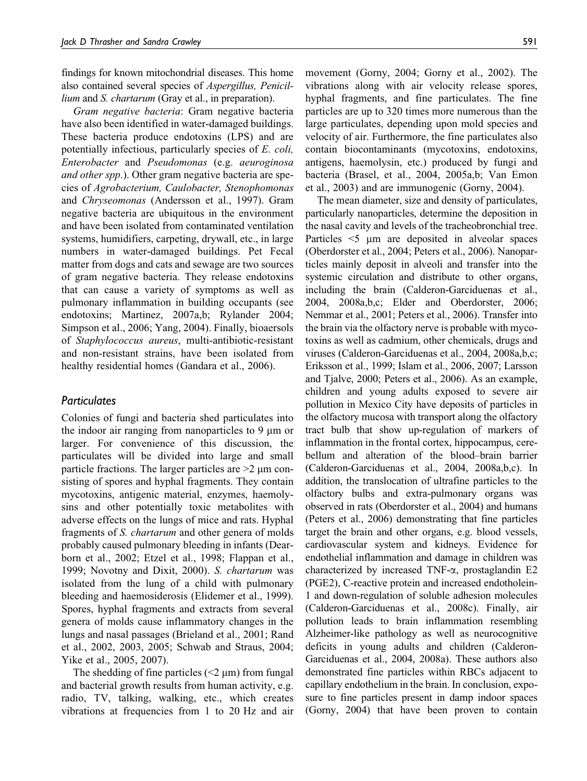findings for known mitochondrial diseases. This home also contained several species of Aspergillus, Penicillium and S. chartarum (Gray et al., in preparation).

Gram negative bacteria: Gram negative bacteria have also been identified in water-damaged buildings. These bacteria produce endotoxins (LPS) and are potentially infectious, particularly species of E. coli, Enterobacter and Pseudomonas (e.g. aeuroginosa and other spp.). Other gram negative bacteria are species of Agrobacterium, Caulobacter, Stenophomonas and Chryseomonas (Andersson et al., 1997). Gram negative bacteria are ubiquitous in the environment and have been isolated from contaminated ventilation systems, humidifiers, carpeting, drywall, etc., in large numbers in water-damaged buildings. Pet Fecal matter from dogs and cats and sewage are two sources of gram negative bacteria. They release endotoxins that can cause a variety of symptoms as well as pulmonary inflammation in building occupants (see endotoxins; Martinez, 2007a,b; Rylander 2004; Simpson et al., 2006; Yang, 2004). Finally, bioaersols of Staphylococcus aureus, multi-antibiotic-resistant and non-resistant strains, have been isolated from healthy residential homes (Gandara et al., 2006).

#### **Particulates**

Colonies of fungi and bacteria shed particulates into the indoor air ranging from nanoparticles to  $9 \mu m$  or larger. For convenience of this discussion, the particulates will be divided into large and small particle fractions. The larger particles are  $>2 \mu m$  consisting of spores and hyphal fragments. They contain mycotoxins, antigenic material, enzymes, haemolysins and other potentially toxic metabolites with adverse effects on the lungs of mice and rats. Hyphal fragments of S. chartarum and other genera of molds probably caused pulmonary bleeding in infants (Dearborn et al., 2002; Etzel et al., 1998; Flappan et al., 1999; Novotny and Dixit, 2000). S. chartarum was isolated from the lung of a child with pulmonary bleeding and haemosiderosis (Elidemer et al., 1999). Spores, hyphal fragments and extracts from several genera of molds cause inflammatory changes in the lungs and nasal passages (Brieland et al., 2001; Rand et al., 2002, 2003, 2005; Schwab and Straus, 2004; Yike et al., 2005, 2007).

The shedding of fine particles  $\leq$   $\mu$ m) from fungal and bacterial growth results from human activity, e.g. radio, TV, talking, walking, etc., which creates vibrations at frequencies from 1 to 20 Hz and air movement (Gorny, 2004; Gorny et al., 2002). The vibrations along with air velocity release spores, hyphal fragments, and fine particulates. The fine particles are up to 320 times more numerous than the large particulates, depending upon mold species and velocity of air. Furthermore, the fine particulates also contain biocontaminants (mycotoxins, endotoxins, antigens, haemolysin, etc.) produced by fungi and bacteria (Brasel, et al., 2004, 2005a,b; Van Emon et al., 2003) and are immunogenic (Gorny, 2004).

The mean diameter, size and density of particulates, particularly nanoparticles, determine the deposition in the nasal cavity and levels of the tracheobronchial tree. Particles  $\leq$   $\frac{1}{2}$  m are deposited in alveolar spaces (Oberdorster et al., 2004; Peters et al., 2006). Nanoparticles mainly deposit in alveoli and transfer into the systemic circulation and distribute to other organs, including the brain (Calderon-Garciduenas et al., 2004, 2008a,b,c; Elder and Oberdorster, 2006; Nemmar et al., 2001; Peters et al., 2006). Transfer into the brain via the olfactory nerve is probable with mycotoxins as well as cadmium, other chemicals, drugs and viruses (Calderon-Garciduenas et al., 2004, 2008a,b,c; Eriksson et al., 1999; Islam et al., 2006, 2007; Larsson and Tjalve, 2000; Peters et al., 2006). As an example, children and young adults exposed to severe air pollution in Mexico City have deposits of particles in the olfactory mucosa with transport along the olfactory tract bulb that show up-regulation of markers of inflammation in the frontal cortex, hippocampus, cerebellum and alteration of the blood–brain barrier (Calderon-Garciduenas et al., 2004, 2008a,b,c). In addition, the translocation of ultrafine particles to the olfactory bulbs and extra-pulmonary organs was observed in rats (Oberdorster et al., 2004) and humans (Peters et al., 2006) demonstrating that fine particles target the brain and other organs, e.g. blood vessels, cardiovascular system and kidneys. Evidence for endothelial inflammation and damage in children was characterized by increased TNF-a, prostaglandin E2 (PGE2), C-reactive protein and increased endotholein-1 and down-regulation of soluble adhesion molecules (Calderon-Garciduenas et al., 2008c). Finally, air pollution leads to brain inflammation resembling Alzheimer-like pathology as well as neurocognitive deficits in young adults and children (Calderon-Garciduenas et al., 2004, 2008a). These authors also demonstrated fine particles within RBCs adjacent to capillary endothelium in the brain. In conclusion, exposure to fine particles present in damp indoor spaces (Gorny, 2004) that have been proven to contain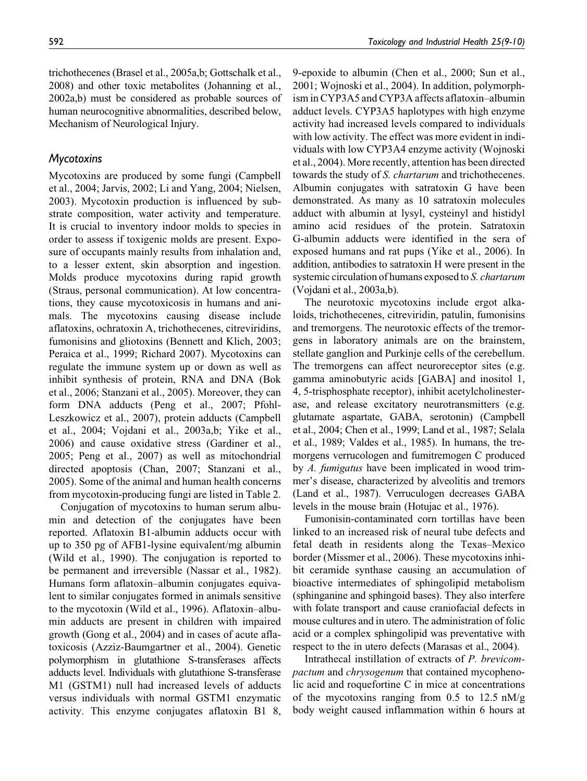trichothecenes (Brasel et al., 2005a,b; Gottschalk et al., 2008) and other toxic metabolites (Johanning et al., 2002a,b) must be considered as probable sources of human neurocognitive abnormalities, described below, Mechanism of Neurological Injury.

#### **Mycotoxins**

Mycotoxins are produced by some fungi (Campbell et al., 2004; Jarvis, 2002; Li and Yang, 2004; Nielsen, 2003). Mycotoxin production is influenced by substrate composition, water activity and temperature. It is crucial to inventory indoor molds to species in order to assess if toxigenic molds are present. Exposure of occupants mainly results from inhalation and, to a lesser extent, skin absorption and ingestion. Molds produce mycotoxins during rapid growth (Straus, personal communication). At low concentrations, they cause mycotoxicosis in humans and animals. The mycotoxins causing disease include aflatoxins, ochratoxin A, trichothecenes, citreviridins, fumonisins and gliotoxins (Bennett and Klich, 2003; Peraica et al., 1999; Richard 2007). Mycotoxins can regulate the immune system up or down as well as inhibit synthesis of protein, RNA and DNA (Bok et al., 2006; Stanzani et al., 2005). Moreover, they can form DNA adducts (Peng et al., 2007; Pfohl-Leszkowicz et al., 2007), protein adducts (Campbell et al., 2004; Vojdani et al., 2003a,b; Yike et al., 2006) and cause oxidative stress (Gardiner et al., 2005; Peng et al., 2007) as well as mitochondrial directed apoptosis (Chan, 2007; Stanzani et al., 2005). Some of the animal and human health concerns from mycotoxin-producing fungi are listed in Table 2.

Conjugation of mycotoxins to human serum albumin and detection of the conjugates have been reported. Aflatoxin B1-albumin adducts occur with up to 350 pg of AFB1-lysine equivalent/mg albumin (Wild et al., 1990). The conjugation is reported to be permanent and irreversible (Nassar et al., 1982). Humans form aflatoxin–albumin conjugates equivalent to similar conjugates formed in animals sensitive to the mycotoxin (Wild et al., 1996). Aflatoxin–albumin adducts are present in children with impaired growth (Gong et al., 2004) and in cases of acute aflatoxicosis (Azziz-Baumgartner et al., 2004). Genetic polymorphism in glutathione S-transferases affects adducts level. Individuals with glutathione S-transferase M1 (GSTM1) null had increased levels of adducts versus individuals with normal GSTM1 enzymatic activity. This enzyme conjugates aflatoxin B1 8, 9-epoxide to albumin (Chen et al., 2000; Sun et al., 2001; Wojnoski et al., 2004). In addition, polymorphism in CYP3A5 and CYP3A affects aflatoxin–albumin adduct levels. CYP3A5 haplotypes with high enzyme activity had increased levels compared to individuals with low activity. The effect was more evident in individuals with low CYP3A4 enzyme activity (Wojnoski et al., 2004). More recently, attention has been directed towards the study of S. chartarum and trichothecenes. Albumin conjugates with satratoxin G have been demonstrated. As many as 10 satratoxin molecules adduct with albumin at lysyl, cysteinyl and histidyl amino acid residues of the protein. Satratoxin G-albumin adducts were identified in the sera of exposed humans and rat pups (Yike et al., 2006). In addition, antibodies to satratoxin H were present in the systemic circulation of humans exposed to S. *chartarum* (Vojdani et al., 2003a,b).

The neurotoxic mycotoxins include ergot alkaloids, trichothecenes, citreviridin, patulin, fumonisins and tremorgens. The neurotoxic effects of the tremorgens in laboratory animals are on the brainstem, stellate ganglion and Purkinje cells of the cerebellum. The tremorgens can affect neuroreceptor sites (e.g. gamma aminobutyric acids [GABA] and inositol 1, 4, 5-trisphosphate receptor), inhibit acetylcholinesterase, and release excitatory neurotransmitters (e.g. glutamate aspartate, GABA, serotonin) (Campbell et al., 2004; Chen et al., 1999; Land et al., 1987; Selala et al., 1989; Valdes et al., 1985). In humans, the tremorgens verrucologen and fumitremogen C produced by A. fumigatus have been implicated in wood trimmer's disease, characterized by alveolitis and tremors (Land et al., 1987). Verruculogen decreases GABA levels in the mouse brain (Hotujac et al., 1976).

Fumonisin-contaminated corn tortillas have been linked to an increased risk of neural tube defects and fetal death in residents along the Texas–Mexico border (Missmer et al., 2006). These mycotoxins inhibit ceramide synthase causing an accumulation of bioactive intermediates of sphingolipid metabolism (sphinganine and sphingoid bases). They also interfere with folate transport and cause craniofacial defects in mouse cultures and in utero. The administration of folic acid or a complex sphingolipid was preventative with respect to the in utero defects (Marasas et al., 2004).

Intrathecal instillation of extracts of P. brevicompactum and chrysogenum that contained mycophenolic acid and roquefortine C in mice at concentrations of the mycotoxins ranging from  $0.5$  to  $12.5$  nM/g body weight caused inflammation within 6 hours at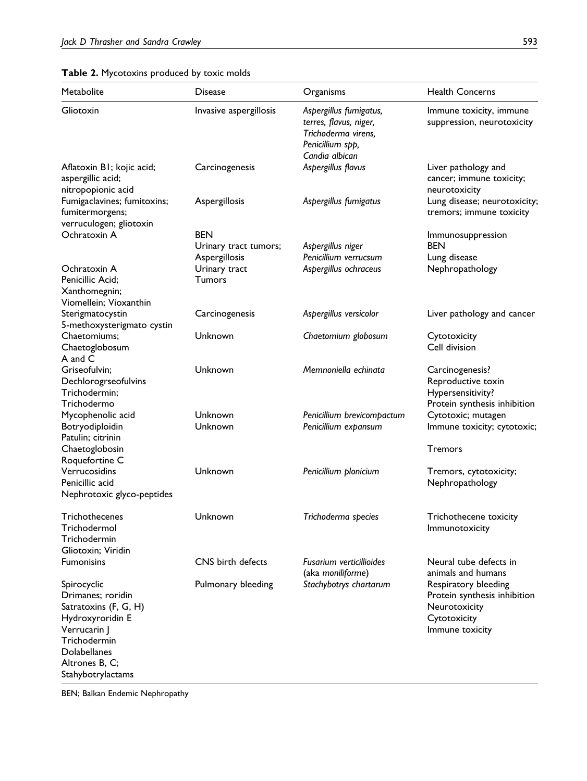| Metabolite                                                                                                                                                                  | <b>Disease</b>                         | Organisms                                                                                                     | <b>Health Concerns</b>                                                                                   |
|-----------------------------------------------------------------------------------------------------------------------------------------------------------------------------|----------------------------------------|---------------------------------------------------------------------------------------------------------------|----------------------------------------------------------------------------------------------------------|
| Gliotoxin                                                                                                                                                                   | Invasive aspergillosis                 | Aspergillus fumigatus,<br>terres, flavus, niger,<br>Trichoderma virens,<br>Penicillium spp,<br>Candia albican | Immune toxicity, immune<br>suppression, neurotoxicity                                                    |
| Aflatoxin B1; kojic acid;<br>aspergillic acid;<br>nitropopionic acid                                                                                                        | Carcinogenesis                         | Aspergillus flavus                                                                                            | Liver pathology and<br>cancer; immune toxicity;<br>neurotoxicity                                         |
| Fumigaclavines; fumitoxins;<br>fumitermorgens;                                                                                                                              | Aspergillosis                          | Aspergillus fumigatus                                                                                         | Lung disease; neurotoxicity;<br>tremors; immune toxicity                                                 |
| verruculogen; gliotoxin<br>Ochratoxin A                                                                                                                                     | <b>BEN</b>                             |                                                                                                               |                                                                                                          |
|                                                                                                                                                                             | Urinary tract tumors;<br>Aspergillosis | Aspergillus niger<br>Penicillium verrucsum                                                                    | Immunosuppression<br><b>BEN</b><br>Lung disease                                                          |
| Ochratoxin A<br>Penicillic Acid;<br>Xanthomegnin;                                                                                                                           | Urinary tract<br>Tumors                | Aspergillus ochraceus                                                                                         | Nephropathology                                                                                          |
| Viomellein; Vioxanthin<br>Sterigmatocystin<br>5-methoxysterigmato cystin                                                                                                    | Carcinogenesis                         | Aspergillus versicolor                                                                                        | Liver pathology and cancer                                                                               |
| Chaetomiums;<br>Chaetoglobosum<br>A and C                                                                                                                                   | Unknown                                | Chaetomium globosum                                                                                           | Cytotoxicity<br>Cell division                                                                            |
| Griseofulvin;<br>Dechlorogrseofulvins<br>Trichodermin;<br>Trichodermo                                                                                                       | Unknown                                | Memnoniella echinata                                                                                          | Carcinogenesis?<br>Reproductive toxin<br>Hypersensitivity?<br>Protein synthesis inhibition               |
| Mycophenolic acid<br>Botryodiploidin<br>Patulin; citrinin                                                                                                                   | Unknown<br>Unknown                     | Penicillium brevicompactum<br>Penicillium expansum                                                            | Cytotoxic; mutagen<br>Immune toxicity; cytotoxic;                                                        |
| Chaetoglobosin<br>Roquefortine C                                                                                                                                            |                                        |                                                                                                               | <b>Tremors</b>                                                                                           |
| Verrucosidins<br>Penicillic acid<br>Nephrotoxic glyco-peptides                                                                                                              | Unknown                                | Penicillium plonicium                                                                                         | Tremors, cytotoxicity;<br>Nephropathology                                                                |
| Trichothecenes<br>Trichodermol<br>Trichodermin<br>Gliotoxin; Viridin                                                                                                        | Unknown                                | Trichoderma species                                                                                           | Trichothecene toxicity<br>Immunotoxicity                                                                 |
| <b>Fumonisins</b>                                                                                                                                                           | CNS birth defects                      | Fusarium verticillioides<br>(aka moniliforme)                                                                 | Neural tube defects in<br>animals and humans                                                             |
| Spirocyclic<br>Drimanes; roridin<br>Satratoxins (F, G, H)<br>Hydroxyroridin E<br>Verrucarin J<br>Trichodermin<br><b>Dolabellanes</b><br>Altrones B, C;<br>Stahybotrylactams | Pulmonary bleeding                     | Stachybotrys chartarum                                                                                        | Respiratory bleeding<br>Protein synthesis inhibition<br>Neurotoxicity<br>Cytotoxicity<br>Immune toxicity |

#### Table 2. Mycotoxins produced by toxic molds

BEN; Balkan Endemic Nephropathy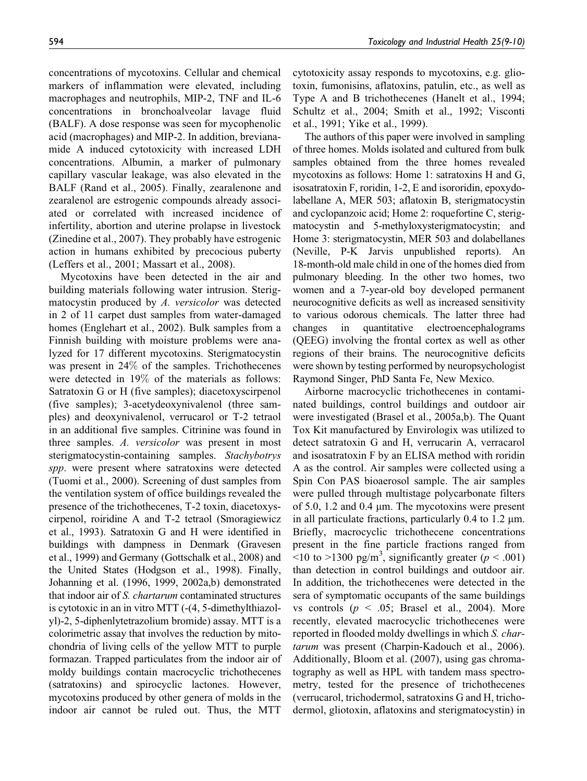concentrations of mycotoxins. Cellular and chemical markers of inflammation were elevated, including macrophages and neutrophils, MIP-2, TNF and IL-6 concentrations in bronchoalveolar lavage fluid (BALF). A dose response was seen for mycophenolic acid (macrophages) and MIP-2. In addition, brevianamide A induced cytotoxicity with increased LDH concentrations. Albumin, a marker of pulmonary capillary vascular leakage, was also elevated in the BALF (Rand et al., 2005). Finally, zearalenone and zearalenol are estrogenic compounds already associated or correlated with increased incidence of infertility, abortion and uterine prolapse in livestock (Zinedine et al., 2007). They probably have estrogenic action in humans exhibited by precocious puberty

(Leffers et al., 2001; Massart et al., 2008). Mycotoxins have been detected in the air and building materials following water intrusion. Sterigmatocystin produced by A. versicolor was detected in 2 of 11 carpet dust samples from water-damaged homes (Englehart et al., 2002). Bulk samples from a Finnish building with moisture problems were analyzed for 17 different mycotoxins. Sterigmatocystin was present in 24% of the samples. Trichothecenes were detected in 19% of the materials as follows: Satratoxin G or H (five samples); diacetoxyscirpenol (five samples); 3-acetydeoxynivalenol (three samples) and deoxynivalenol, verrucarol or T-2 tetraol in an additional five samples. Citrinine was found in three samples. A. versicolor was present in most sterigmatocystin-containing samples. Stachybotrys spp. were present where satratoxins were detected (Tuomi et al., 2000). Screening of dust samples from the ventilation system of office buildings revealed the presence of the trichothecenes, T-2 toxin, diacetoxyscirpenol, roiridine A and T-2 tetraol (Smoragiewicz et al., 1993). Satratoxin G and H were identified in buildings with dampness in Denmark (Gravesen et al., 1999) and Germany (Gottschalk et al., 2008) and the United States (Hodgson et al., 1998). Finally, Johanning et al. (1996, 1999, 2002a,b) demonstrated that indoor air of S. chartarum contaminated structures is cytotoxic in an in vitro MTT (-(4, 5-dimethylthiazolyl)-2, 5-diphenlytetrazolium bromide) assay. MTT is a colorimetric assay that involves the reduction by mitochondria of living cells of the yellow MTT to purple formazan. Trapped particulates from the indoor air of moldy buildings contain macrocyclic trichothecenes (satratoxins) and spirocyclic lactones. However, mycotoxins produced by other genera of molds in the indoor air cannot be ruled out. Thus, the MTT cytotoxicity assay responds to mycotoxins, e.g. gliotoxin, fumonisins, aflatoxins, patulin, etc., as well as Type A and B trichothecenes (Hanelt et al., 1994; Schultz et al., 2004; Smith et al., 1992; Visconti et al., 1991; Yike et al., 1999).

The authors of this paper were involved in sampling of three homes. Molds isolated and cultured from bulk samples obtained from the three homes revealed mycotoxins as follows: Home 1: satratoxins H and G, isosatratoxin F, roridin, 1-2, E and isororidin, epoxydolabellane A, MER 503; aflatoxin B, sterigmatocystin and cyclopanzoic acid; Home 2: roquefortine C, sterigmatocystin and 5-methyloxysterigmatocystin; and Home 3: sterigmatocystin, MER 503 and dolabellanes (Neville, P-K Jarvis unpublished reports). 18-month-old male child in one of the homes died from pulmonary bleeding. In the other two homes, two women and a 7-year-old boy developed permanent neurocognitive deficits as well as increased sensitivity to various odorous chemicals. The latter three had changes in quantitative electroencephalograms (QEEG) involving the frontal cortex as well as other regions of their brains. The neurocognitive deficits were shown by testing performed by neuropsychologist Raymond Singer, PhD Santa Fe, New Mexico.

Airborne macrocyclic trichothecenes in contaminated buildings, control buildings and outdoor air were investigated (Brasel et al., 2005a,b). The Quant Tox Kit manufactured by Envirologix was utilized to detect satratoxin G and H, verrucarin A, verracarol and isosatratoxin F by an ELISA method with roridin A as the control. Air samples were collected using a Spin Con PAS bioaerosol sample. The air samples were pulled through multistage polycarbonate filters of 5.0, 1.2 and 0.4  $\mu$ m. The mycotoxins were present in all particulate fractions, particularly  $0.4$  to  $1.2 \mu m$ . Briefly, macrocyclic trichothecene concentrations present in the fine particle fractions ranged from  $\approx$  10 to >1300 pg/m<sup>3</sup>, significantly greater ( $p < .001$ ) than detection in control buildings and outdoor air. In addition, the trichothecenes were detected in the sera of symptomatic occupants of the same buildings vs controls ( $p \leq .05$ ; Brasel et al., 2004). More recently, elevated macrocyclic trichothecenes were reported in flooded moldy dwellings in which S. chartarum was present (Charpin-Kadouch et al., 2006). Additionally, Bloom et al. (2007), using gas chromatography as well as HPL with tandem mass spectrometry, tested for the presence of trichothecenes (verrucarol, trichodermol, satratoxins G and H, trichodermol, gliotoxin, aflatoxins and sterigmatocystin) in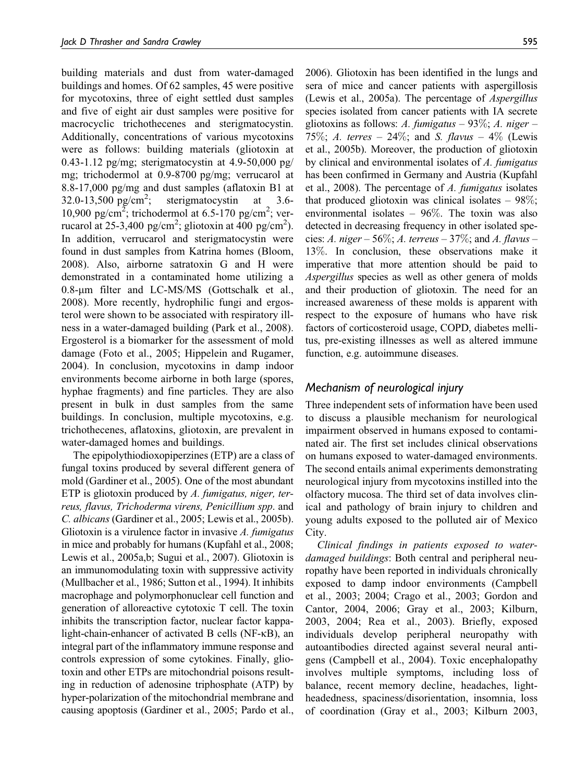building materials and dust from water-damaged buildings and homes. Of 62 samples, 45 were positive for mycotoxins, three of eight settled dust samples and five of eight air dust samples were positive for macrocyclic trichothecenes and sterigmatocystin. Additionally, concentrations of various mycotoxins were as follows: building materials (gliotoxin at 0.43-1.12 pg/mg; sterigmatocystin at 4.9-50,000 pg/ mg; trichodermol at 0.9-8700 pg/mg; verrucarol at 8.8-17,000 pg/mg and dust samples (aflatoxin B1 at 32.0-13,500 pg/cm<sup>2</sup>; sterigmatocystin at 3.6-10,900 pg/cm<sup>2</sup>; trichodermol at 6.5-170 pg/cm<sup>2</sup>; verrucarol at 25-3,400 pg/cm<sup>2</sup>; gliotoxin at 400 pg/cm<sup>2</sup>). In addition, verrucarol and sterigmatocystin were found in dust samples from Katrina homes (Bloom, 2008). Also, airborne satratoxin G and H were demonstrated in a contaminated home utilizing a 0.8-um filter and LC-MS/MS (Gottschalk et al., 2008). More recently, hydrophilic fungi and ergosterol were shown to be associated with respiratory illness in a water-damaged building (Park et al., 2008). Ergosterol is a biomarker for the assessment of mold damage (Foto et al., 2005; Hippelein and Rugamer, 2004). In conclusion, mycotoxins in damp indoor environments become airborne in both large (spores, hyphae fragments) and fine particles. They are also present in bulk in dust samples from the same buildings. In conclusion, multiple mycotoxins, e.g. trichothecenes, aflatoxins, gliotoxin, are prevalent in water-damaged homes and buildings.

The epipolythiodioxopiperzines (ETP) are a class of fungal toxins produced by several different genera of mold (Gardiner et al., 2005). One of the most abundant ETP is gliotoxin produced by A. fumigatus, niger, terreus, flavus, Trichoderma virens, Penicillium spp. and C. albicans (Gardiner et al., 2005; Lewis et al., 2005b). Gliotoxin is a virulence factor in invasive A. fumigatus in mice and probably for humans (Kupfahl et al., 2008; Lewis et al., 2005a,b; Sugui et al., 2007). Gliotoxin is an immunomodulating toxin with suppressive activity (Mullbacher et al., 1986; Sutton et al., 1994). It inhibits macrophage and polymorphonuclear cell function and generation of alloreactive cytotoxic T cell. The toxin inhibits the transcription factor, nuclear factor kappalight-chain-enhancer of activated B cells (NF-kB), an integral part of the inflammatory immune response and controls expression of some cytokines. Finally, gliotoxin and other ETPs are mitochondrial poisons resulting in reduction of adenosine triphosphate (ATP) by hyper-polarization of the mitochondrial membrane and causing apoptosis (Gardiner et al., 2005; Pardo et al.,

2006). Gliotoxin has been identified in the lungs and sera of mice and cancer patients with aspergillosis (Lewis et al., 2005a). The percentage of Aspergillus species isolated from cancer patients with IA secrete gliotoxins as follows: A. fumigatus –  $93\%$ ; A. niger – 75%; A. terres – 24%; and S. flavus – 4% (Lewis et al., 2005b). Moreover, the production of gliotoxin by clinical and environmental isolates of A. fumigatus has been confirmed in Germany and Austria (Kupfahl et al., 2008). The percentage of A. fumigatus isolates that produced gliotoxin was clinical isolates  $-98\%$ : environmental isolates  $-96\%$ . The toxin was also detected in decreasing frequency in other isolated species: A. niger – 56\%; A. terreus – 37\%; and A. flavus – 13%. In conclusion, these observations make it imperative that more attention should be paid to Aspergillus species as well as other genera of molds and their production of gliotoxin. The need for an increased awareness of these molds is apparent with respect to the exposure of humans who have risk factors of corticosteroid usage, COPD, diabetes mellitus, pre-existing illnesses as well as altered immune function, e.g. autoimmune diseases.

#### Mechanism of neurological injury

Three independent sets of information have been used to discuss a plausible mechanism for neurological impairment observed in humans exposed to contaminated air. The first set includes clinical observations on humans exposed to water-damaged environments. The second entails animal experiments demonstrating neurological injury from mycotoxins instilled into the olfactory mucosa. The third set of data involves clinical and pathology of brain injury to children and young adults exposed to the polluted air of Mexico City.

Clinical findings in patients exposed to waterdamaged buildings: Both central and peripheral neuropathy have been reported in individuals chronically exposed to damp indoor environments (Campbell et al., 2003; 2004; Crago et al., 2003; Gordon and Cantor, 2004, 2006; Gray et al., 2003; Kilburn, 2003, 2004; Rea et al., 2003). Briefly, exposed individuals develop peripheral neuropathy with autoantibodies directed against several neural antigens (Campbell et al., 2004). Toxic encephalopathy involves multiple symptoms, including loss of balance, recent memory decline, headaches, lightheadedness, spaciness/disorientation, insomnia, loss of coordination (Gray et al., 2003; Kilburn 2003,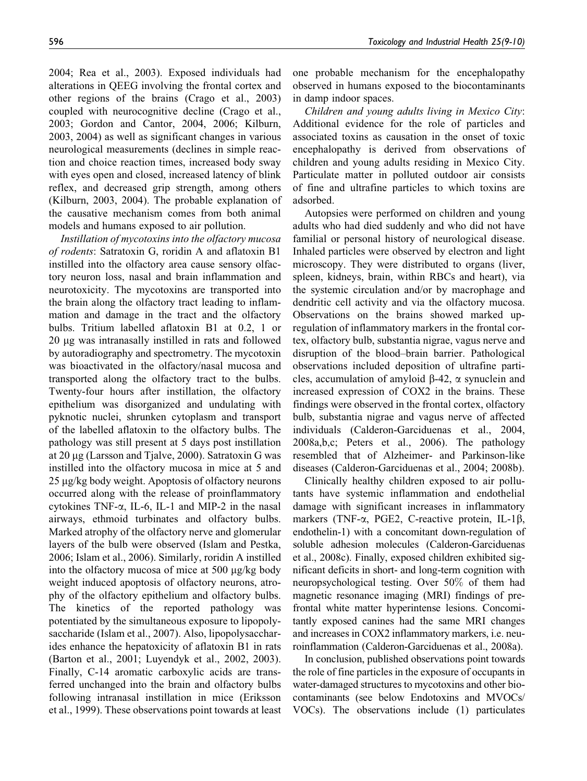2004; Rea et al., 2003). Exposed individuals had alterations in QEEG involving the frontal cortex and other regions of the brains (Crago et al., 2003) coupled with neurocognitive decline (Crago et al., 2003; Gordon and Cantor, 2004, 2006; Kilburn, 2003, 2004) as well as significant changes in various neurological measurements (declines in simple reaction and choice reaction times, increased body sway with eyes open and closed, increased latency of blink reflex, and decreased grip strength, among others (Kilburn, 2003, 2004). The probable explanation of the causative mechanism comes from both animal models and humans exposed to air pollution.

Instillation of mycotoxins into the olfactory mucosa of rodents: Satratoxin G, roridin A and aflatoxin B1 instilled into the olfactory area cause sensory olfactory neuron loss, nasal and brain inflammation and neurotoxicity. The mycotoxins are transported into the brain along the olfactory tract leading to inflammation and damage in the tract and the olfactory bulbs. Tritium labelled aflatoxin B1 at 0.2, 1 or 20 mg was intranasally instilled in rats and followed by autoradiography and spectrometry. The mycotoxin was bioactivated in the olfactory/nasal mucosa and transported along the olfactory tract to the bulbs. Twenty-four hours after instillation, the olfactory epithelium was disorganized and undulating with pyknotic nuclei, shrunken cytoplasm and transport of the labelled aflatoxin to the olfactory bulbs. The pathology was still present at 5 days post instillation at 20 mg (Larsson and Tjalve, 2000). Satratoxin G was instilled into the olfactory mucosa in mice at 5 and 25 µg/kg body weight. Apoptosis of olfactory neurons occurred along with the release of proinflammatory cytokines TNF- $\alpha$ , IL-6, IL-1 and MIP-2 in the nasal airways, ethmoid turbinates and olfactory bulbs. Marked atrophy of the olfactory nerve and glomerular layers of the bulb were observed (Islam and Pestka, 2006; Islam et al., 2006). Similarly, roridin A instilled into the olfactory mucosa of mice at 500  $\mu$ g/kg body weight induced apoptosis of olfactory neurons, atrophy of the olfactory epithelium and olfactory bulbs. The kinetics of the reported pathology was potentiated by the simultaneous exposure to lipopolysaccharide (Islam et al., 2007). Also, lipopolysaccharides enhance the hepatoxicity of aflatoxin B1 in rats (Barton et al., 2001; Luyendyk et al., 2002, 2003). Finally, C-14 aromatic carboxylic acids are transferred unchanged into the brain and olfactory bulbs following intranasal instillation in mice (Eriksson et al., 1999). These observations point towards at least one probable mechanism for the encephalopathy observed in humans exposed to the biocontaminants in damp indoor spaces.

Children and young adults living in Mexico City: Additional evidence for the role of particles and associated toxins as causation in the onset of toxic encephalopathy is derived from observations of children and young adults residing in Mexico City. Particulate matter in polluted outdoor air consists of fine and ultrafine particles to which toxins are adsorbed.

Autopsies were performed on children and young adults who had died suddenly and who did not have familial or personal history of neurological disease. Inhaled particles were observed by electron and light microscopy. They were distributed to organs (liver, spleen, kidneys, brain, within RBCs and heart), via the systemic circulation and/or by macrophage and dendritic cell activity and via the olfactory mucosa. Observations on the brains showed marked upregulation of inflammatory markers in the frontal cortex, olfactory bulb, substantia nigrae, vagus nerve and disruption of the blood–brain barrier. Pathological observations included deposition of ultrafine particles, accumulation of amyloid  $\beta$ -42,  $\alpha$  synuclein and increased expression of COX2 in the brains. These findings were observed in the frontal cortex, olfactory bulb, substantia nigrae and vagus nerve of affected individuals (Calderon-Garciduenas et al., 2004, 2008a,b,c; Peters et al., 2006). The pathology resembled that of Alzheimer- and Parkinson-like diseases (Calderon-Garciduenas et al., 2004; 2008b).

Clinically healthy children exposed to air pollutants have systemic inflammation and endothelial damage with significant increases in inflammatory markers (TNF- $\alpha$ , PGE2, C-reactive protein, IL-1 $\beta$ , endothelin-1) with a concomitant down-regulation of soluble adhesion molecules (Calderon-Garciduenas et al., 2008c). Finally, exposed children exhibited significant deficits in short- and long-term cognition with neuropsychological testing. Over 50% of them had magnetic resonance imaging (MRI) findings of prefrontal white matter hyperintense lesions. Concomitantly exposed canines had the same MRI changes and increases in COX2 inflammatory markers, i.e. neuroinflammation (Calderon-Garciduenas et al., 2008a).

In conclusion, published observations point towards the role of fine particles in the exposure of occupants in water-damaged structures to mycotoxins and other biocontaminants (see below Endotoxins and MVOCs/ VOCs). The observations include (1) particulates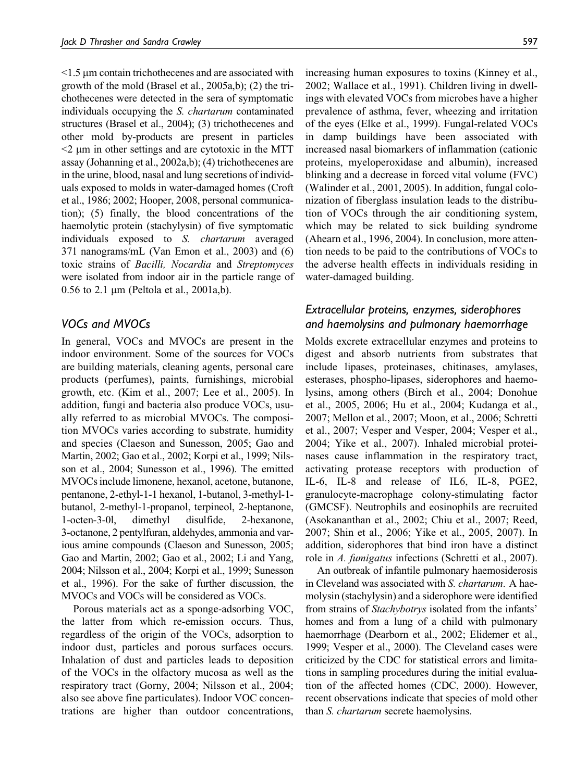$\leq$ 1.5 µm contain trichothecenes and are associated with growth of the mold (Brasel et al., 2005a,b); (2) the trichothecenes were detected in the sera of symptomatic individuals occupying the S. chartarum contaminated structures (Brasel et al., 2004); (3) trichothecenes and other mold by-products are present in particles  $\leq$  2  $\mu$ m in other settings and are cytotoxic in the MTT assay (Johanning et al., 2002a,b); (4) trichothecenes are in the urine, blood, nasal and lung secretions of individuals exposed to molds in water-damaged homes (Croft et al., 1986; 2002; Hooper, 2008, personal communication); (5) finally, the blood concentrations of the haemolytic protein (stachylysin) of five symptomatic individuals exposed to S. chartarum averaged 371 nanograms/mL (Van Emon et al., 2003) and (6) toxic strains of Bacilli, Nocardia and Streptomyces were isolated from indoor air in the particle range of 0.56 to 2.1  $\mu$ m (Peltola et al., 2001a,b).

#### VOCs and MVOCs

In general, VOCs and MVOCs are present in the indoor environment. Some of the sources for VOCs are building materials, cleaning agents, personal care products (perfumes), paints, furnishings, microbial growth, etc. (Kim et al., 2007; Lee et al., 2005). In addition, fungi and bacteria also produce VOCs, usually referred to as microbial MVOCs. The composition MVOCs varies according to substrate, humidity and species (Claeson and Sunesson, 2005; Gao and Martin, 2002; Gao et al., 2002; Korpi et al., 1999; Nilsson et al., 2004; Sunesson et al., 1996). The emitted MVOCs include limonene, hexanol, acetone, butanone, pentanone, 2-ethyl-1-1 hexanol, 1-butanol, 3-methyl-1 butanol, 2-methyl-1-propanol, terpineol, 2-heptanone, 1-octen-3-0l, dimethyl disulfide, 2-hexanone, 3-octanone, 2 pentylfuran, aldehydes, ammonia and various amine compounds (Claeson and Sunesson, 2005; Gao and Martin, 2002; Gao et al., 2002; Li and Yang, 2004; Nilsson et al., 2004; Korpi et al., 1999; Sunesson et al., 1996). For the sake of further discussion, the MVOCs and VOCs will be considered as VOCs.

Porous materials act as a sponge-adsorbing VOC, the latter from which re-emission occurs. Thus, regardless of the origin of the VOCs, adsorption to indoor dust, particles and porous surfaces occurs. Inhalation of dust and particles leads to deposition of the VOCs in the olfactory mucosa as well as the respiratory tract (Gorny, 2004; Nilsson et al., 2004; also see above fine particulates). Indoor VOC concentrations are higher than outdoor concentrations, increasing human exposures to toxins (Kinney et al., 2002; Wallace et al., 1991). Children living in dwellings with elevated VOCs from microbes have a higher prevalence of asthma, fever, wheezing and irritation of the eyes (Elke et al., 1999). Fungal-related VOCs in damp buildings have been associated with increased nasal biomarkers of inflammation (cationic proteins, myeloperoxidase and albumin), increased blinking and a decrease in forced vital volume (FVC) (Walinder et al., 2001, 2005). In addition, fungal colonization of fiberglass insulation leads to the distribution of VOCs through the air conditioning system, which may be related to sick building syndrome (Ahearn et al., 1996, 2004). In conclusion, more attention needs to be paid to the contributions of VOCs to the adverse health effects in individuals residing in water-damaged building.

# Extracellular proteins, enzymes, siderophores and haemolysins and pulmonary haemorrhage

Molds excrete extracellular enzymes and proteins to digest and absorb nutrients from substrates that include lipases, proteinases, chitinases, amylases, esterases, phospho-lipases, siderophores and haemolysins, among others (Birch et al., 2004; Donohue et al., 2005, 2006; Hu et al., 2004; Kudanga et al., 2007; Mellon et al., 2007; Moon, et al., 2006; Schretti et al., 2007; Vesper and Vesper, 2004; Vesper et al., 2004; Yike et al., 2007). Inhaled microbial proteinases cause inflammation in the respiratory tract, activating protease receptors with production of IL-6, IL-8 and release of IL6, IL-8, PGE2, granulocyte-macrophage colony-stimulating factor (GMCSF). Neutrophils and eosinophils are recruited (Asokananthan et al., 2002; Chiu et al., 2007; Reed, 2007; Shin et al., 2006; Yike et al., 2005, 2007). In addition, siderophores that bind iron have a distinct role in A. fumigatus infections (Schretti et al., 2007).

An outbreak of infantile pulmonary haemosiderosis in Cleveland was associated with S. chartarum. A haemolysin (stachylysin) and a siderophore were identified from strains of *Stachybotrys* isolated from the infants' homes and from a lung of a child with pulmonary haemorrhage (Dearborn et al., 2002; Elidemer et al., 1999; Vesper et al., 2000). The Cleveland cases were criticized by the CDC for statistical errors and limitations in sampling procedures during the initial evaluation of the affected homes (CDC, 2000). However, recent observations indicate that species of mold other than S. chartarum secrete haemolysins.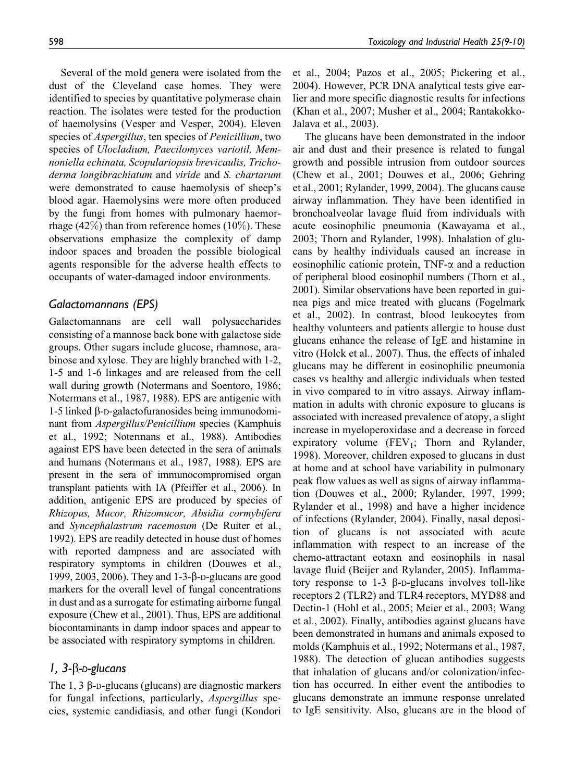Several of the mold genera were isolated from the dust of the Cleveland case homes. They were identified to species by quantitative polymerase chain reaction. The isolates were tested for the production of haemolysins (Vesper and Vesper, 2004). Eleven species of *Aspergillus*, ten species of *Penicillium*, two species of Ulocladium, Paecilomyces variotil, Memnoniella echinata, Scopulariopsis brevicaulis, Trichoderma longibrachiatum and viride and S. chartarum were demonstrated to cause haemolysis of sheep's blood agar. Haemolysins were more often produced by the fungi from homes with pulmonary haemorrhage (42%) than from reference homes (10%). These observations emphasize the complexity of damp indoor spaces and broaden the possible biological agents responsible for the adverse health effects to occupants of water-damaged indoor environments.

#### Galactomannans (EPS)

Galactomannans are cell wall polysaccharides consisting of a mannose back bone with galactose side groups. Other sugars include glucose, rhamnose, arabinose and xylose. They are highly branched with 1-2, 1-5 and 1-6 linkages and are released from the cell wall during growth (Notermans and Soentoro, 1986; Notermans et al., 1987, 1988). EPS are antigenic with 1-5 linked b-D-galactofuranosides being immunodominant from Aspergillus/Penicillium species (Kamphuis et al., 1992; Notermans et al., 1988). Antibodies against EPS have been detected in the sera of animals and humans (Notermans et al., 1987, 1988). EPS are present in the sera of immunocompromised organ transplant patients with IA (Pfeiffer et al., 2006). In addition, antigenic EPS are produced by species of Rhizopus, Mucor, Rhizomucor, Absidia cormybifera and Syncephalastrum racemosum (De Ruiter et al., 1992). EPS are readily detected in house dust of homes with reported dampness and are associated with respiratory symptoms in children (Douwes et al., 1999, 2003, 2006). They and 1-3-β-p-glucans are good markers for the overall level of fungal concentrations in dust and as a surrogate for estimating airborne fungal exposure (Chew et al., 2001). Thus, EPS are additional biocontaminants in damp indoor spaces and appear to be associated with respiratory symptoms in children.

# $1, 3$ - $\beta$ - $D$ -glucans

The  $1, 3$   $\beta$ -D-glucans (glucans) are diagnostic markers for fungal infections, particularly, Aspergillus species, systemic candidiasis, and other fungi (Kondori et al., 2004; Pazos et al., 2005; Pickering et al., 2004). However, PCR DNA analytical tests give earlier and more specific diagnostic results for infections (Khan et al., 2007; Musher et al., 2004; Rantakokko-Jalava et al., 2003).

The glucans have been demonstrated in the indoor air and dust and their presence is related to fungal growth and possible intrusion from outdoor sources (Chew et al., 2001; Douwes et al., 2006; Gehring et al., 2001; Rylander, 1999, 2004). The glucans cause airway inflammation. They have been identified in bronchoalveolar lavage fluid from individuals with acute eosinophilic pneumonia (Kawayama et al., 2003; Thorn and Rylander, 1998). Inhalation of glucans by healthy individuals caused an increase in eosinophilic cationic protein,  $TNF-\alpha$  and a reduction of peripheral blood eosinophil numbers (Thorn et al., 2001). Similar observations have been reported in guinea pigs and mice treated with glucans (Fogelmark et al., 2002). In contrast, blood leukocytes from healthy volunteers and patients allergic to house dust glucans enhance the release of IgE and histamine in vitro (Holck et al., 2007). Thus, the effects of inhaled glucans may be different in eosinophilic pneumonia cases vs healthy and allergic individuals when tested in vivo compared to in vitro assays. Airway inflammation in adults with chronic exposure to glucans is associated with increased prevalence of atopy, a slight increase in myeloperoxidase and a decrease in forced expiratory volume ( $FEV<sub>1</sub>$ ; Thorn and Rylander, 1998). Moreover, children exposed to glucans in dust at home and at school have variability in pulmonary peak flow values as well as signs of airway inflammation (Douwes et al., 2000; Rylander, 1997, 1999; Rylander et al., 1998) and have a higher incidence of infections (Rylander, 2004). Finally, nasal deposition of glucans is not associated with acute inflammation with respect to an increase of the chemo-attractant eotaxn and eosinophils in nasal lavage fluid (Beijer and Rylander, 2005). Inflammatory response to 1-3  $\beta$ -D-glucans involves toll-like receptors 2 (TLR2) and TLR4 receptors, MYD88 and Dectin-1 (Hohl et al., 2005; Meier et al., 2003; Wang et al., 2002). Finally, antibodies against glucans have been demonstrated in humans and animals exposed to molds (Kamphuis et al., 1992; Notermans et al., 1987, 1988). The detection of glucan antibodies suggests that inhalation of glucans and/or colonization/infection has occurred. In either event the antibodies to glucans demonstrate an immune response unrelated to IgE sensitivity. Also, glucans are in the blood of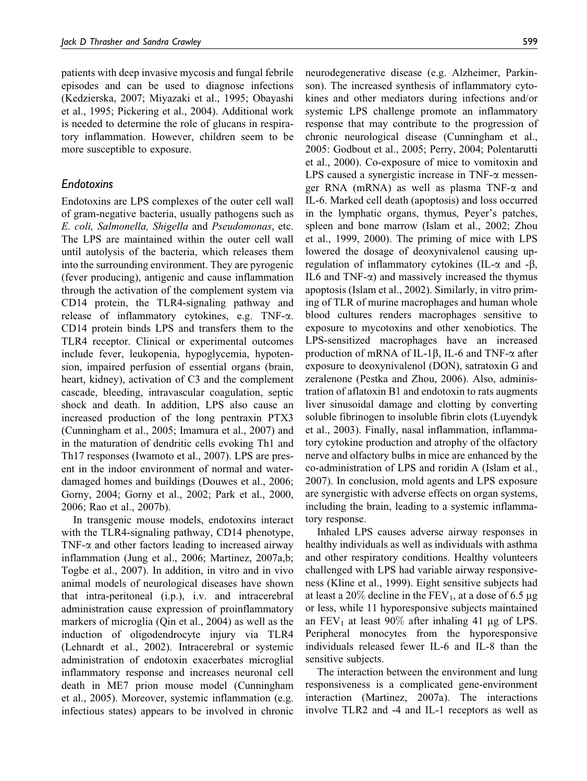patients with deep invasive mycosis and fungal febrile episodes and can be used to diagnose infections (Kedzierska, 2007; Miyazaki et al., 1995; Obayashi et al., 1995; Pickering et al., 2004). Additional work is needed to determine the role of glucans in respiratory inflammation. However, children seem to be more susceptible to exposure.

#### **Endotoxins**

Endotoxins are LPS complexes of the outer cell wall of gram-negative bacteria, usually pathogens such as E. coli, Salmonella, Shigella and Pseudomonas, etc. The LPS are maintained within the outer cell wall until autolysis of the bacteria, which releases them into the surrounding environment. They are pyrogenic (fever producing), antigenic and cause inflammation through the activation of the complement system via CD14 protein, the TLR4-signaling pathway and release of inflammatory cytokines, e.g. TNF-a. CD14 protein binds LPS and transfers them to the TLR4 receptor. Clinical or experimental outcomes include fever, leukopenia, hypoglycemia, hypotension, impaired perfusion of essential organs (brain, heart, kidney), activation of C3 and the complement cascade, bleeding, intravascular coagulation, septic shock and death. In addition, LPS also cause an increased production of the long pentraxin PTX3 (Cunningham et al., 2005; Imamura et al., 2007) and in the maturation of dendritic cells evoking Th1 and Th17 responses (Iwamoto et al., 2007). LPS are present in the indoor environment of normal and waterdamaged homes and buildings (Douwes et al., 2006; Gorny, 2004; Gorny et al., 2002; Park et al., 2000, 2006; Rao et al., 2007b).

In transgenic mouse models, endotoxins interact with the TLR4-signaling pathway, CD14 phenotype, TNF- $\alpha$  and other factors leading to increased airway inflammation (Jung et al., 2006; Martinez, 2007a,b; Togbe et al., 2007). In addition, in vitro and in vivo animal models of neurological diseases have shown that intra-peritoneal (i.p.), i.v. and intracerebral administration cause expression of proinflammatory markers of microglia (Qin et al., 2004) as well as the induction of oligodendrocyte injury via TLR4 (Lehnardt et al., 2002). Intracerebral or systemic administration of endotoxin exacerbates microglial inflammatory response and increases neuronal cell death in ME7 prion mouse model (Cunningham et al., 2005). Moreover, systemic inflammation (e.g. infectious states) appears to be involved in chronic neurodegenerative disease (e.g. Alzheimer, Parkinson). The increased synthesis of inflammatory cytokines and other mediators during infections and/or systemic LPS challenge promote an inflammatory response that may contribute to the progression of chronic neurological disease (Cunningham et al., 2005: Godbout et al., 2005; Perry, 2004; Polentarutti et al., 2000). Co-exposure of mice to vomitoxin and LPS caused a synergistic increase in TNF- $\alpha$  messenger RNA (mRNA) as well as plasma TNF- $\alpha$  and IL-6. Marked cell death (apoptosis) and loss occurred in the lymphatic organs, thymus, Peyer's patches, spleen and bone marrow (Islam et al., 2002; Zhou et al., 1999, 2000). The priming of mice with LPS lowered the dosage of deoxynivalenol causing upregulation of inflammatory cytokines (IL- $\alpha$  and - $\beta$ , IL6 and TNF- $\alpha$ ) and massively increased the thymus apoptosis (Islam et al., 2002). Similarly, in vitro priming of TLR of murine macrophages and human whole blood cultures renders macrophages sensitive to exposure to mycotoxins and other xenobiotics. The LPS-sensitized macrophages have an increased production of mRNA of IL-1 $\beta$ , IL-6 and TNF- $\alpha$  after exposure to deoxynivalenol (DON), satratoxin G and zeralenone (Pestka and Zhou, 2006). Also, administration of aflatoxin B1 and endotoxin to rats augments liver sinusoidal damage and clotting by converting soluble fibrinogen to insoluble fibrin clots (Luyendyk et al., 2003). Finally, nasal inflammation, inflammatory cytokine production and atrophy of the olfactory nerve and olfactory bulbs in mice are enhanced by the co-administration of LPS and roridin A (Islam et al., 2007). In conclusion, mold agents and LPS exposure are synergistic with adverse effects on organ systems, including the brain, leading to a systemic inflammatory response.

Inhaled LPS causes adverse airway responses in healthy individuals as well as individuals with asthma and other respiratory conditions. Healthy volunteers challenged with LPS had variable airway responsiveness (Kline et al., 1999). Eight sensitive subjects had at least a 20% decline in the  $FEV_1$ , at a dose of 6.5 µg or less, while 11 hyporesponsive subjects maintained an FEV<sub>1</sub> at least 90% after inhaling 41 µg of LPS. Peripheral monocytes from the hyporesponsive individuals released fewer IL-6 and IL-8 than the sensitive subjects.

The interaction between the environment and lung responsiveness is a complicated gene-environment interaction (Martinez, 2007a). The interactions involve TLR2 and -4 and IL-1 receptors as well as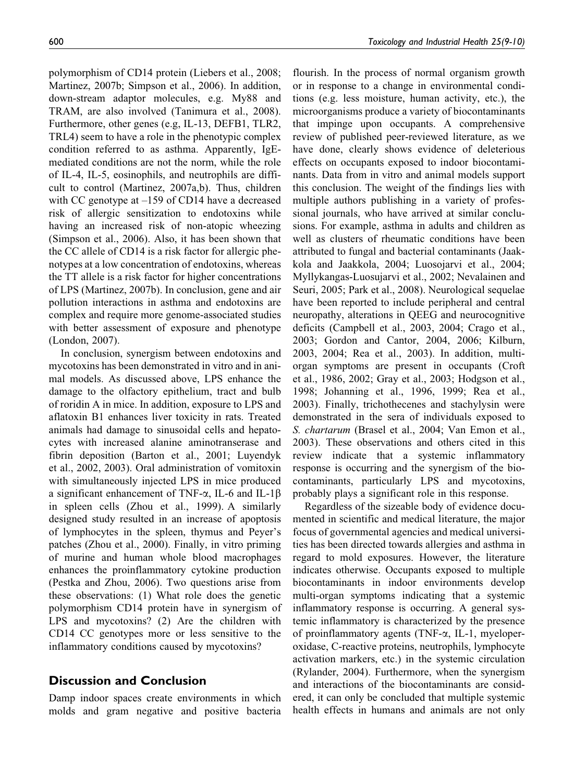polymorphism of CD14 protein (Liebers et al., 2008; Martinez, 2007b; Simpson et al., 2006). In addition, down-stream adaptor molecules, e.g. My88 and TRAM, are also involved (Tanimura et al., 2008). Furthermore, other genes (e.g, IL-13, DEFB1, TLR2, TRL4) seem to have a role in the phenotypic complex condition referred to as asthma. Apparently, IgEmediated conditions are not the norm, while the role of IL-4, IL-5, eosinophils, and neutrophils are difficult to control (Martinez, 2007a,b). Thus, children with CC genotype at –159 of CD14 have a decreased risk of allergic sensitization to endotoxins while having an increased risk of non-atopic wheezing (Simpson et al., 2006). Also, it has been shown that the CC allele of CD14 is a risk factor for allergic phenotypes at a low concentration of endotoxins, whereas the TT allele is a risk factor for higher concentrations of LPS (Martinez, 2007b). In conclusion, gene and air pollution interactions in asthma and endotoxins are complex and require more genome-associated studies with better assessment of exposure and phenotype (London, 2007).

In conclusion, synergism between endotoxins and mycotoxins has been demonstrated in vitro and in animal models. As discussed above, LPS enhance the damage to the olfactory epithelium, tract and bulb of roridin A in mice. In addition, exposure to LPS and aflatoxin B1 enhances liver toxicity in rats. Treated animals had damage to sinusoidal cells and hepatocytes with increased alanine aminotranserase and fibrin deposition (Barton et al., 2001; Luyendyk et al., 2002, 2003). Oral administration of vomitoxin with simultaneously injected LPS in mice produced a significant enhancement of TNF- $\alpha$ , IL-6 and IL-1 $\beta$ in spleen cells (Zhou et al., 1999). A similarly designed study resulted in an increase of apoptosis of lymphocytes in the spleen, thymus and Peyer's patches (Zhou et al., 2000). Finally, in vitro priming of murine and human whole blood macrophages enhances the proinflammatory cytokine production (Pestka and Zhou, 2006). Two questions arise from these observations: (1) What role does the genetic polymorphism CD14 protein have in synergism of LPS and mycotoxins? (2) Are the children with CD14 CC genotypes more or less sensitive to the inflammatory conditions caused by mycotoxins?

# Discussion and Conclusion

Damp indoor spaces create environments in which molds and gram negative and positive bacteria flourish. In the process of normal organism growth or in response to a change in environmental conditions (e.g. less moisture, human activity, etc.), the microorganisms produce a variety of biocontaminants that impinge upon occupants. A comprehensive review of published peer-reviewed literature, as we have done, clearly shows evidence of deleterious effects on occupants exposed to indoor biocontaminants. Data from in vitro and animal models support this conclusion. The weight of the findings lies with multiple authors publishing in a variety of professional journals, who have arrived at similar conclusions. For example, asthma in adults and children as well as clusters of rheumatic conditions have been attributed to fungal and bacterial contaminants (Jaakkola and Jaakkola, 2004; Luosojarvi et al., 2004; Myllykangas-Luosujarvi et al., 2002; Nevalainen and Seuri, 2005; Park et al., 2008). Neurological sequelae have been reported to include peripheral and central neuropathy, alterations in QEEG and neurocognitive deficits (Campbell et al., 2003, 2004; Crago et al., 2003; Gordon and Cantor, 2004, 2006; Kilburn, 2003, 2004; Rea et al., 2003). In addition, multiorgan symptoms are present in occupants (Croft et al., 1986, 2002; Gray et al., 2003; Hodgson et al., 1998; Johanning et al., 1996, 1999; Rea et al., 2003). Finally, trichothecenes and stachylysin were demonstrated in the sera of individuals exposed to S. chartarum (Brasel et al., 2004; Van Emon et al., 2003). These observations and others cited in this review indicate that a systemic inflammatory response is occurring and the synergism of the biocontaminants, particularly LPS and mycotoxins, probably plays a significant role in this response.

Regardless of the sizeable body of evidence documented in scientific and medical literature, the major focus of governmental agencies and medical universities has been directed towards allergies and asthma in regard to mold exposures. However, the literature indicates otherwise. Occupants exposed to multiple biocontaminants in indoor environments develop multi-organ symptoms indicating that a systemic inflammatory response is occurring. A general systemic inflammatory is characterized by the presence of proinflammatory agents (TNF-a, IL-1, myeloperoxidase, C-reactive proteins, neutrophils, lymphocyte activation markers, etc.) in the systemic circulation (Rylander, 2004). Furthermore, when the synergism and interactions of the biocontaminants are considered, it can only be concluded that multiple systemic health effects in humans and animals are not only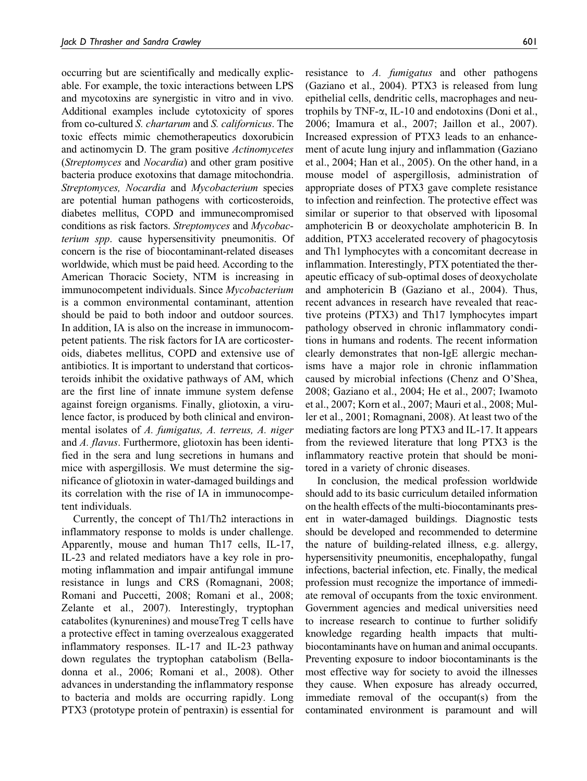occurring but are scientifically and medically explicable. For example, the toxic interactions between LPS and mycotoxins are synergistic in vitro and in vivo. Additional examples include cytotoxicity of spores from co-cultured S. chartarum and S. californicus. The toxic effects mimic chemotherapeutics doxorubicin and actinomycin D. The gram positive Actinomycetes (Streptomyces and Nocardia) and other gram positive bacteria produce exotoxins that damage mitochondria. Streptomyces, Nocardia and Mycobacterium species are potential human pathogens with corticosteroids, diabetes mellitus, COPD and immunecompromised conditions as risk factors. Streptomyces and Mycobacterium spp. cause hypersensitivity pneumonitis. Of concern is the rise of biocontaminant-related diseases worldwide, which must be paid heed. According to the American Thoracic Society, NTM is increasing in immunocompetent individuals. Since Mycobacterium is a common environmental contaminant, attention should be paid to both indoor and outdoor sources. In addition, IA is also on the increase in immunocompetent patients. The risk factors for IA are corticosteroids, diabetes mellitus, COPD and extensive use of antibiotics. It is important to understand that corticosteroids inhibit the oxidative pathways of AM, which are the first line of innate immune system defense against foreign organisms. Finally, gliotoxin, a virulence factor, is produced by both clinical and environmental isolates of A. fumigatus, A. terreus, A. niger and A. flavus. Furthermore, gliotoxin has been identified in the sera and lung secretions in humans and mice with aspergillosis. We must determine the significance of gliotoxin in water-damaged buildings and its correlation with the rise of IA in immunocompetent individuals.

Currently, the concept of Th1/Th2 interactions in inflammatory response to molds is under challenge. Apparently, mouse and human Th17 cells, IL-17, IL-23 and related mediators have a key role in promoting inflammation and impair antifungal immune resistance in lungs and CRS (Romagnani, 2008; Romani and Puccetti, 2008; Romani et al., 2008; Zelante et al., 2007). Interestingly, tryptophan catabolites (kynurenines) and mouseTreg T cells have a protective effect in taming overzealous exaggerated inflammatory responses. IL-17 and IL-23 pathway down regulates the tryptophan catabolism (Belladonna et al., 2006; Romani et al., 2008). Other advances in understanding the inflammatory response to bacteria and molds are occurring rapidly. Long PTX3 (prototype protein of pentraxin) is essential for resistance to A. fumigatus and other pathogens (Gaziano et al., 2004). PTX3 is released from lung epithelial cells, dendritic cells, macrophages and neutrophils by TNF- $\alpha$ , IL-10 and endotoxins (Doni et al., 2006; Imamura et al., 2007; Jaillon et al., 2007). Increased expression of PTX3 leads to an enhancement of acute lung injury and inflammation (Gaziano et al., 2004; Han et al., 2005). On the other hand, in a mouse model of aspergillosis, administration of appropriate doses of PTX3 gave complete resistance to infection and reinfection. The protective effect was similar or superior to that observed with liposomal amphotericin B or deoxycholate amphotericin B. In addition, PTX3 accelerated recovery of phagocytosis and Th1 lymphocytes with a concomitant decrease in inflammation. Interestingly, PTX potentiated the therapeutic efficacy of sub-optimal doses of deoxycholate and amphotericin B (Gaziano et al., 2004). Thus, recent advances in research have revealed that reactive proteins (PTX3) and Th17 lymphocytes impart pathology observed in chronic inflammatory conditions in humans and rodents. The recent information clearly demonstrates that non-IgE allergic mechanisms have a major role in chronic inflammation caused by microbial infections (Chenz and O'Shea, 2008; Gaziano et al., 2004; He et al., 2007; Iwamoto et al., 2007; Korn et al., 2007; Mauri et al., 2008; Muller et al., 2001; Romagnani, 2008). At least two of the mediating factors are long PTX3 and IL-17. It appears from the reviewed literature that long PTX3 is the inflammatory reactive protein that should be monitored in a variety of chronic diseases.

In conclusion, the medical profession worldwide should add to its basic curriculum detailed information on the health effects of the multi-biocontaminants present in water-damaged buildings. Diagnostic tests should be developed and recommended to determine the nature of building-related illness, e.g. allergy, hypersensitivity pneumonitis, encephalopathy, fungal infections, bacterial infection, etc. Finally, the medical profession must recognize the importance of immediate removal of occupants from the toxic environment. Government agencies and medical universities need to increase research to continue to further solidify knowledge regarding health impacts that multibiocontaminants have on human and animal occupants. Preventing exposure to indoor biocontaminants is the most effective way for society to avoid the illnesses they cause. When exposure has already occurred, immediate removal of the occupant(s) from the contaminated environment is paramount and will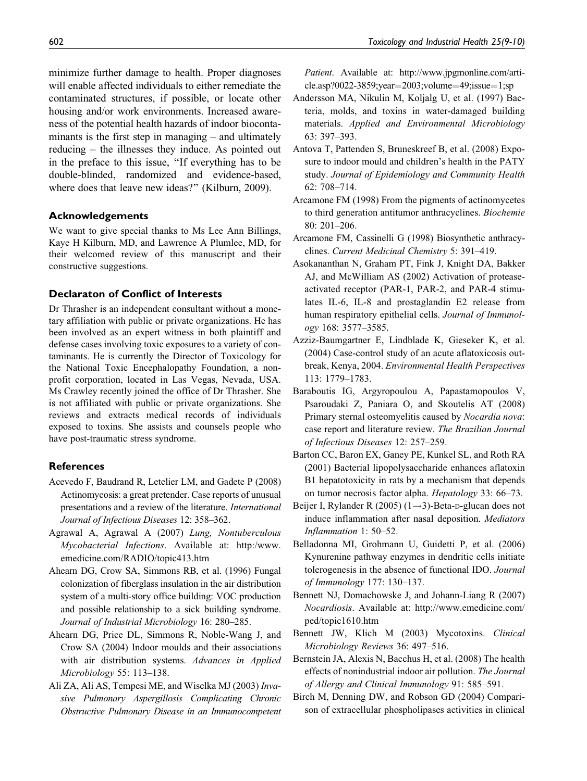minimize further damage to health. Proper diagnoses will enable affected individuals to either remediate the contaminated structures, if possible, or locate other housing and/or work environments. Increased awareness of the potential health hazards of indoor biocontaminants is the first step in managing – and ultimately reducing – the illnesses they induce. As pointed out in the preface to this issue, ''If everything has to be double-blinded, randomized and evidence-based, where does that leave new ideas?'' (Kilburn, 2009).

#### Acknowledgements

We want to give special thanks to Ms Lee Ann Billings, Kaye H Kilburn, MD, and Lawrence A Plumlee, MD, for their welcomed review of this manuscript and their constructive suggestions.

#### Declaraton of Conflict of Interests

Dr Thrasher is an independent consultant without a monetary affiliation with public or private organizations. He has been involved as an expert witness in both plaintiff and defense cases involving toxic exposures to a variety of contaminants. He is currently the Director of Toxicology for the National Toxic Encephalopathy Foundation, a nonprofit corporation, located in Las Vegas, Nevada, USA. Ms Crawley recently joined the office of Dr Thrasher. She is not affiliated with public or private organizations. She reviews and extracts medical records of individuals exposed to toxins. She assists and counsels people who have post-traumatic stress syndrome.

#### **References**

- Acevedo F, Baudrand R, Letelier LM, and Gadete P (2008) Actinomycosis: a great pretender. Case reports of unusual presentations and a review of the literature. International Journal of Infectious Diseases 12: 358–362.
- Agrawal A, Agrawal A (2007) Lung, Nontuberculous Mycobacterial Infections. Available at: http:/www. emedicine.com/RADIO/topic413.htm
- Ahearn DG, Crow SA, Simmons RB, et al. (1996) Fungal colonization of fiberglass insulation in the air distribution system of a multi-story office building: VOC production and possible relationship to a sick building syndrome. Journal of Industrial Microbiology 16: 280–285.
- Ahearn DG, Price DL, Simmons R, Noble-Wang J, and Crow SA (2004) Indoor moulds and their associations with air distribution systems. Advances in Applied Microbiology 55: 113–138.
- Ali ZA, Ali AS, Tempesi ME, and Wiselka MJ (2003) Invasive Pulmonary Aspergillosis Complicating Chronic Obstructive Pulmonary Disease in an Immunocompetent

Patient. Available at: http://www.jpgmonline.com/article.asp?0022-3859;year=2003;volume=49;issue=1;sp

- Andersson MA, Nikulin M, Koljalg U, et al. (1997) Bacteria, molds, and toxins in water-damaged building materials. Applied and Environmental Microbiology 63: 397–393.
- Antova T, Pattenden S, Bruneskreef B, et al. (2008) Exposure to indoor mould and children's health in the PATY study. Journal of Epidemiology and Community Health 62: 708–714.
- Arcamone FM (1998) From the pigments of actinomycetes to third generation antitumor anthracyclines. Biochemie 80: 201–206.
- Arcamone FM, Cassinelli G (1998) Biosynthetic anthracyclines. Current Medicinal Chemistry 5: 391–419.
- Asokananthan N, Graham PT, Fink J, Knight DA, Bakker AJ, and McWilliam AS (2002) Activation of proteaseactivated receptor (PAR-1, PAR-2, and PAR-4 stimulates IL-6, IL-8 and prostaglandin E2 release from human respiratory epithelial cells. Journal of Immunology 168: 3577–3585.
- Azziz-Baumgartner E, Lindblade K, Gieseker K, et al. (2004) Case-control study of an acute aflatoxicosis outbreak, Kenya, 2004. Environmental Health Perspectives 113: 1779–1783.
- Baraboutis IG, Argyropoulou A, Papastamopoulos V, Psaroudaki Z, Paniara O, and Skoutelis AT (2008) Primary sternal osteomyelitis caused by Nocardia nova: case report and literature review. The Brazilian Journal of Infectious Diseases 12: 257–259.
- Barton CC, Baron EX, Ganey PE, Kunkel SL, and Roth RA (2001) Bacterial lipopolysaccharide enhances aflatoxin B1 hepatotoxicity in rats by a mechanism that depends on tumor necrosis factor alpha. Hepatology 33: 66–73.
- Beijer I, Rylander R (2005) (1 $\rightarrow$ 3)-Beta-D-glucan does not induce inflammation after nasal deposition. Mediators Inflammation 1: 50–52.
- Belladonna MI, Grohmann U, Guidetti P, et al. (2006) Kynurenine pathway enzymes in dendritic cells initiate tolerogenesis in the absence of functional IDO. Journal of Immunology 177: 130–137.
- Bennett NJ, Domachowske J, and Johann-Liang R (2007) Nocardiosis. Available at: http://www.emedicine.com/ ped/topic1610.htm
- Bennett JW, Klich M (2003) Mycotoxins. Clinical Microbiology Reviews 36: 497–516.
- Bernstein JA, Alexis N, Bacchus H, et al. (2008) The health effects of nonindustrial indoor air pollution. The Journal of Allergy and Clinical Immunology 91: 585–591.
- Birch M, Denning DW, and Robson GD (2004) Comparison of extracellular phospholipases activities in clinical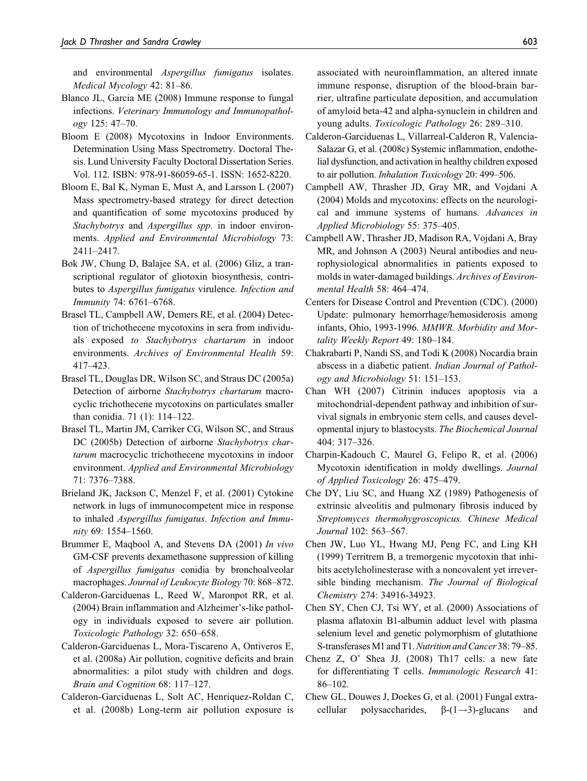and environmental Aspergillus fumigatus isolates. Medical Mycology 42: 81–86.

- Blanco JL, Garcia ME (2008) Immune response to fungal infections. Veterinary Immunology and Immunopathology 125: 47–70.
- Bloom E (2008) Mycotoxins in Indoor Environments. Determination Using Mass Spectrometry. Doctoral Thesis. Lund University Faculty Doctoral Dissertation Series. Vol. 112. ISBN: 978-91-86059-65-1. ISSN: 1652-8220.
- Bloom E, Bal K, Nyman E, Must A, and Larsson L (2007) Mass spectrometry-based strategy for direct detection and quantification of some mycotoxins produced by Stachybotrys and Aspergillus spp. in indoor environments. Applied and Environmental Microbiology 73: 2411–2417.
- Bok JW, Chung D, Balajee SA, et al. (2006) Gliz, a transcriptional regulator of gliotoxin biosynthesis, contributes to Aspergillus fumigatus virulence. Infection and Immunity 74: 6761–6768.
- Brasel TL, Campbell AW, Demers RE, et al. (2004) Detection of trichothecene mycotoxins in sera from individuals exposed to Stachybotrys chartarum in indoor environments. Archives of Environmental Health 59: 417–423.
- Brasel TL, Douglas DR, Wilson SC, and Straus DC (2005a) Detection of airborne Stachybotrys chartarum macrocyclic trichothecene mycotoxins on particulates smaller than conidia. 71 (1): 114–122.
- Brasel TL, Martin JM, Carriker CG, Wilson SC, and Straus DC (2005b) Detection of airborne Stachybotrys chartarum macrocyclic trichothecene mycotoxins in indoor environment. Applied and Environmental Microbiology 71: 7376–7388.
- Brieland JK, Jackson C, Menzel F, et al. (2001) Cytokine network in lugs of immunocompetent mice in response to inhaled Aspergillus fumigatus. Infection and Immunity 69: 1554–1560.
- Brummer E, Magbool A, and Stevens DA (2001) In vivo GM-CSF prevents dexamethasone suppression of killing of Aspergillus fumigatus conidia by bronchoalveolar macrophages. Journal of Leukocyte Biology 70: 868–872.
- Calderon-Garciduenas L, Reed W, Maronpot RR, et al. (2004) Brain inflammation and Alzheimer's-like pathology in individuals exposed to severe air pollution. Toxicologic Pathology 32: 650–658.
- Calderon-Garciduenas L, Mora-Tiscareno A, Ontiveros E, et al. (2008a) Air pollution, cognitive deficits and brain abnormalities: a pilot study with children and dogs. Brain and Cognition 68: 117–127.
- Calderon-Garciduenas L, Solt AC, Henriquez-Roldan C, et al. (2008b) Long-term air pollution exposure is

associated with neuroinflammation, an altered innate immune response, disruption of the blood-brain barrier, ultrafine particulate deposition, and accumulation of amyloid beta-42 and alpha-synuclein in children and young adults. Toxicologic Pathology 26: 289–310.

- Calderon-Garciduenas L, Villarreal-Calderon R, Valencia-Salazar G, et al. (2008c) Systemic inflammation, endothelial dysfunction, and activation in healthy children exposed to air pollution. Inhalation Toxicology 20: 499–506.
- Campbell AW, Thrasher JD, Gray MR, and Vojdani A (2004) Molds and mycotoxins: effects on the neurological and immune systems of humans. Advances in Applied Microbiology 55: 375–405.
- Campbell AW, Thrasher JD, Madison RA, Vojdani A, Bray MR, and Johnson A (2003) Neural antibodies and neurophysiological abnormalities in patients exposed to molds in water-damaged buildings. Archives of Environmental Health 58: 464–474.
- Centers for Disease Control and Prevention (CDC). (2000) Update: pulmonary hemorrhage/hemosiderosis among infants, Ohio, 1993-1996. MMWR. Morbidity and Mortality Weekly Report 49: 180–184.
- Chakrabarti P, Nandi SS, and Todi K (2008) Nocardia brain abscess in a diabetic patient. Indian Journal of Pathology and Microbiology 51: 151–153.
- Chan WH (2007) Citrinin induces apoptosis via a mitochondrial-dependent pathway and inhibition of survival signals in embryonic stem cells, and causes developmental injury to blastocysts. The Biochemical Journal 404: 317–326.
- Charpin-Kadouch C, Maurel G, Felipo R, et al. (2006) Mycotoxin identification in moldy dwellings. Journal of Applied Toxicology 26: 475–479.
- Che DY, Liu SC, and Huang XZ (1989) Pathogenesis of extrinsic alveolitis and pulmonary fibrosis induced by Streptomyces thermohygroscopicus. Chinese Medical Journal 102: 563–567.
- Chen JW, Luo YL, Hwang MJ, Peng FC, and Ling KH (1999) Territrem B, a tremorgenic mycotoxin that inhibits acetylcholinesterase with a noncovalent yet irreversible binding mechanism. The Journal of Biological Chemistry 274: 34916-34923.
- Chen SY, Chen CJ, Tsi WY, et al. (2000) Associations of plasma aflatoxin B1-albumin adduct level with plasma selenium level and genetic polymorphism of glutathione S-transferases M1 and T1. Nutrition and Cancer 38: 79–85.
- Chenz Z, O' Shea JJ. (2008) Th17 cells: a new fate for differentiating T cells. Immunologic Research 41: 86–102.
- Chew GL, Douwes J, Doekes G, et al. (2001) Fungal extracellular polysaccharides,  $\beta$ - $(1\rightarrow 3)$ -glucans and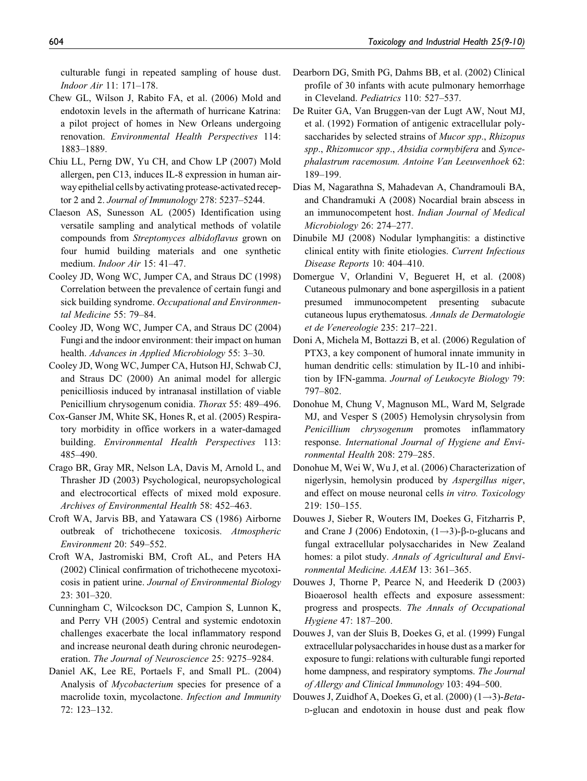culturable fungi in repeated sampling of house dust. Indoor Air 11: 171–178.

- Chew GL, Wilson J, Rabito FA, et al. (2006) Mold and endotoxin levels in the aftermath of hurricane Katrina: a pilot project of homes in New Orleans undergoing renovation. Environmental Health Perspectives 114: 1883–1889.
- Chiu LL, Perng DW, Yu CH, and Chow LP (2007) Mold allergen, pen C13, induces IL-8 expression in human airway epithelial cells by activating protease-activated receptor 2 and 2. Journal of Immunology 278: 5237–5244.
- Claeson AS, Sunesson AL (2005) Identification using versatile sampling and analytical methods of volatile compounds from Streptomyces albidoflavus grown on four humid building materials and one synthetic medium. Indoor Air 15: 41–47.
- Cooley JD, Wong WC, Jumper CA, and Straus DC (1998) Correlation between the prevalence of certain fungi and sick building syndrome. Occupational and Environmental Medicine 55: 79–84.
- Cooley JD, Wong WC, Jumper CA, and Straus DC (2004) Fungi and the indoor environment: their impact on human health. Advances in Applied Microbiology 55: 3–30.
- Cooley JD, Wong WC, Jumper CA, Hutson HJ, Schwab CJ, and Straus DC (2000) An animal model for allergic penicilliosis induced by intranasal instillation of viable Penicillium chrysogenum conidia. Thorax 55: 489–496.
- Cox-Ganser JM, White SK, Hones R, et al. (2005) Respiratory morbidity in office workers in a water-damaged building. Environmental Health Perspectives 113: 485–490.
- Crago BR, Gray MR, Nelson LA, Davis M, Arnold L, and Thrasher JD (2003) Psychological, neuropsychological and electrocortical effects of mixed mold exposure. Archives of Environmental Health 58: 452–463.
- Croft WA, Jarvis BB, and Yatawara CS (1986) Airborne outbreak of trichothecene toxicosis. Atmospheric Environment 20: 549–552.
- Croft WA, Jastromiski BM, Croft AL, and Peters HA (2002) Clinical confirmation of trichothecene mycotoxicosis in patient urine. Journal of Environmental Biology 23: 301–320.
- Cunningham C, Wilcockson DC, Campion S, Lunnon K, and Perry VH (2005) Central and systemic endotoxin challenges exacerbate the local inflammatory respond and increase neuronal death during chronic neurodegeneration. The Journal of Neuroscience 25: 9275–9284.
- Daniel AK, Lee RE, Portaels F, and Small PL. (2004) Analysis of Mycobacterium species for presence of a macrolide toxin, mycolactone. Infection and Immunity 72: 123–132.
- Dearborn DG, Smith PG, Dahms BB, et al. (2002) Clinical profile of 30 infants with acute pulmonary hemorrhage in Cleveland. Pediatrics 110: 527–537.
- De Ruiter GA, Van Bruggen-van der Lugt AW, Nout MJ, et al. (1992) Formation of antigenic extracellular polysaccharides by selected strains of Mucor spp., Rhizopus spp., Rhizomucor spp., Absidia cormybifera and Syncephalastrum racemosum. Antoine Van Leeuwenhoek 62: 189–199.
- Dias M, Nagarathna S, Mahadevan A, Chandramouli BA, and Chandramuki A (2008) Nocardial brain abscess in an immunocompetent host. Indian Journal of Medical Microbiology 26: 274–277.
- Dinubile MJ (2008) Nodular lymphangitis: a distinctive clinical entity with finite etiologies. Current Infectious Disease Reports 10: 404–410.
- Domergue V, Orlandini V, Begueret H, et al. (2008) Cutaneous pulmonary and bone aspergillosis in a patient presumed immunocompetent presenting subacute cutaneous lupus erythematosus. Annals de Dermatologie et de Venereologie 235: 217–221.
- Doni A, Michela M, Bottazzi B, et al. (2006) Regulation of PTX3, a key component of humoral innate immunity in human dendritic cells: stimulation by IL-10 and inhibition by IFN-gamma. Journal of Leukocyte Biology 79: 797–802.
- Donohue M, Chung V, Magnuson ML, Ward M, Selgrade MJ, and Vesper S (2005) Hemolysin chrysolysin from Penicillium chrysogenum promotes inflammatory response. International Journal of Hygiene and Environmental Health 208: 279–285.
- Donohue M, Wei W, Wu J, et al. (2006) Characterization of nigerlysin, hemolysin produced by Aspergillus niger, and effect on mouse neuronal cells in vitro. Toxicology 219: 150–155.
- Douwes J, Sieber R, Wouters IM, Doekes G, Fitzharris P, and Crane J (2006) Endotoxin,  $(1\rightarrow 3)$ - $\beta$ -D-glucans and fungal extracellular polysaccharides in New Zealand homes: a pilot study. Annals of Agricultural and Environmental Medicine. AAEM 13: 361–365.
- Douwes J, Thorne P, Pearce N, and Heederik D (2003) Bioaerosol health effects and exposure assessment: progress and prospects. The Annals of Occupational Hygiene 47: 187–200.
- Douwes J, van der Sluis B, Doekes G, et al. (1999) Fungal extracellular polysaccharides in house dust as a marker for exposure to fungi: relations with culturable fungi reported home dampness, and respiratory symptoms. The Journal of Allergy and Clinical Immunology 103: 494–500.
- Douwes J, Zuidhof A, Doekes G, et al. (2000) ( $1 \rightarrow 3$ )-Beta-D-glucan and endotoxin in house dust and peak flow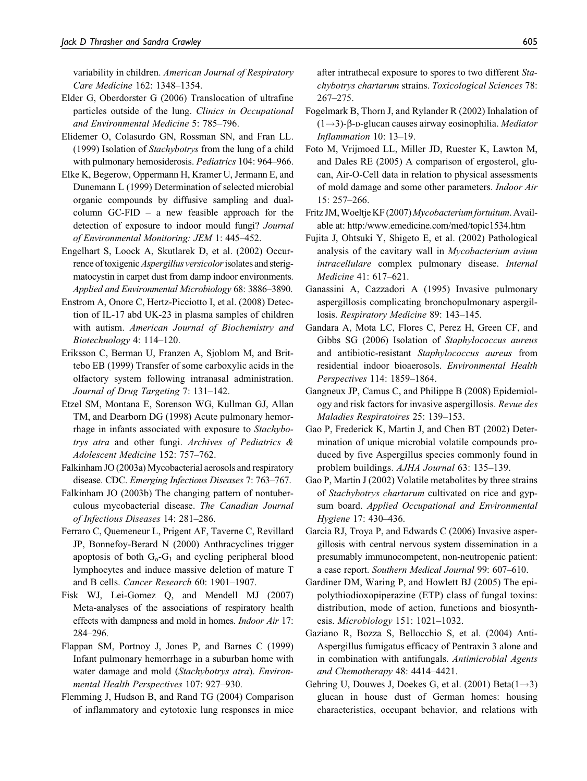variability in children. American Journal of Respiratory Care Medicine 162: 1348–1354.

- Elder G, Oberdorster G (2006) Translocation of ultrafine particles outside of the lung. Clinics in Occupational and Environmental Medicine 5: 785–796.
- Elidemer O, Colasurdo GN, Rossman SN, and Fran LL. (1999) Isolation of Stachybotrys from the lung of a child with pulmonary hemosiderosis. Pediatrics 104: 964–966.
- Elke K, Begerow, Oppermann H, Kramer U, Jermann E, and Dunemann L (1999) Determination of selected microbial organic compounds by diffusive sampling and dualcolumn GC-FID – a new feasible approach for the detection of exposure to indoor mould fungi? Journal of Environmental Monitoring: JEM 1: 445–452.
- Engelhart S, Loock A, Skutlarek D, et al. (2002) Occurrence of toxigenic *Aspergillus versicolor* isolates and sterigmatocystin in carpet dust from damp indoor environments. Applied and Environmental Microbiology 68: 3886–3890.
- Enstrom A, Onore C, Hertz-Picciotto I, et al. (2008) Detection of IL-17 abd UK-23 in plasma samples of children with autism. American Journal of Biochemistry and Biotechnology 4: 114–120.
- Eriksson C, Berman U, Franzen A, Sjoblom M, and Brittebo EB (1999) Transfer of some carboxylic acids in the olfactory system following intranasal administration. Journal of Drug Targeting 7: 131–142.
- Etzel SM, Montana E, Sorenson WG, Kullman GJ, Allan TM, and Dearborn DG (1998) Acute pulmonary hemorrhage in infants associated with exposure to Stachybotrys atra and other fungi. Archives of Pediatrics & Adolescent Medicine 152: 757–762.
- Falkinham JO (2003a) Mycobacterial aerosols and respiratory disease. CDC. Emerging Infectious Diseases 7: 763–767.
- Falkinham JO (2003b) The changing pattern of nontuberculous mycobacterial disease. The Canadian Journal of Infectious Diseases 14: 281–286.
- Ferraro C, Quemeneur L, Prigent AF, Taverne C, Revillard JP, Bonnefoy-Berard N (2000) Anthracyclines trigger apoptosis of both  $G_0$ - $G_1$  and cycling peripheral blood lymphocytes and induce massive deletion of mature T and B cells. Cancer Research 60: 1901–1907.
- Fisk WJ, Lei-Gomez Q, and Mendell MJ (2007) Meta-analyses of the associations of respiratory health effects with dampness and mold in homes. Indoor Air 17: 284–296.
- Flappan SM, Portnoy J, Jones P, and Barnes C (1999) Infant pulmonary hemorrhage in a suburban home with water damage and mold (Stachybotrys atra). Environmental Health Perspectives 107: 927–930.
- Flemming J, Hudson B, and Rand TG (2004) Comparison of inflammatory and cytotoxic lung responses in mice

after intrathecal exposure to spores to two different Stachybotrys chartarum strains. Toxicological Sciences 78: 267–275.

- Fogelmark B, Thorn J, and Rylander R (2002) Inhalation of  $(1\rightarrow 3)$ - $\beta$ - $D$ -glucan causes airway eosinophilia. *Mediator* Inflammation 10: 13–19.
- Foto M, Vrijmoed LL, Miller JD, Ruester K, Lawton M, and Dales RE (2005) A comparison of ergosterol, glucan, Air-O-Cell data in relation to physical assessments of mold damage and some other parameters. Indoor Air 15: 257–266.
- Fritz JM, Woeltje KF (2007) Mycobacterium fortuitum. Available at: http:/www.emedicine.com/med/topic1534.htm
- Fujita J, Ohtsuki Y, Shigeto E, et al. (2002) Pathological analysis of the cavitary wall in Mycobacterium avium intracellulare complex pulmonary disease. Internal Medicine 41: 617–621.
- Ganassini A, Cazzadori A (1995) Invasive pulmonary aspergillosis complicating bronchopulmonary aspergillosis. Respiratory Medicine 89: 143–145.
- Gandara A, Mota LC, Flores C, Perez H, Green CF, and Gibbs SG (2006) Isolation of Staphylococcus aureus and antibiotic-resistant Staphylococcus aureus from residential indoor bioaerosols. Environmental Health Perspectives 114: 1859–1864.
- Gangneux JP, Camus C, and Philippe B (2008) Epidemiology and risk factors for invasive aspergillosis. Revue des Maladies Respiratoires 25: 139–153.
- Gao P, Frederick K, Martin J, and Chen BT (2002) Determination of unique microbial volatile compounds produced by five Aspergillus species commonly found in problem buildings. AJHA Journal 63: 135–139.
- Gao P, Martin J (2002) Volatile metabolites by three strains of Stachybotrys chartarum cultivated on rice and gypsum board. Applied Occupational and Environmental Hygiene 17: 430–436.
- Garcia RJ, Troya P, and Edwards C (2006) Invasive aspergillosis with central nervous system dissemination in a presumably immunocompetent, non-neutropenic patient: a case report. Southern Medical Journal 99: 607–610.
- Gardiner DM, Waring P, and Howlett BJ (2005) The epipolythiodioxopiperazine (ETP) class of fungal toxins: distribution, mode of action, functions and biosynthesis. Microbiology 151: 1021–1032.
- Gaziano R, Bozza S, Bellocchio S, et al. (2004) Anti-Aspergillus fumigatus efficacy of Pentraxin 3 alone and in combination with antifungals. Antimicrobial Agents and Chemotherapy 48: 4414–4421.
- Gehring U, Douwes J, Doekes G, et al. (2001) Beta( $1\rightarrow 3$ ) glucan in house dust of German homes: housing characteristics, occupant behavior, and relations with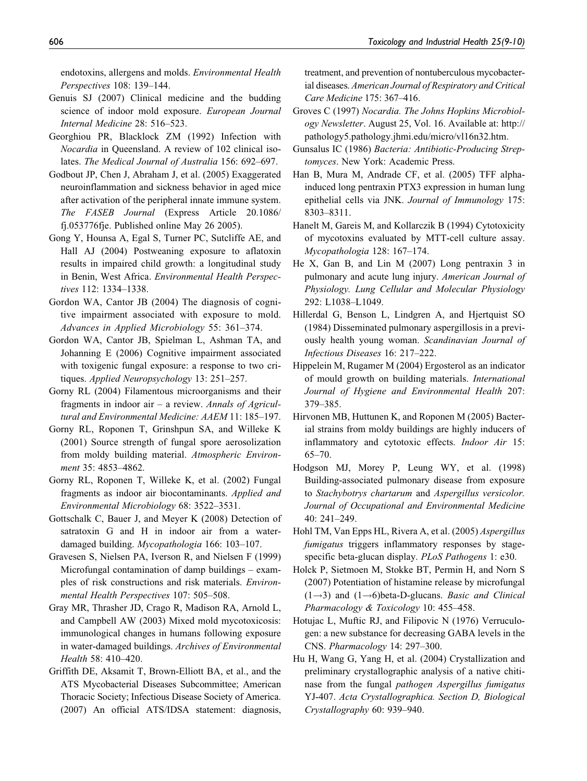endotoxins, allergens and molds. Environmental Health Perspectives 108: 139–144.

- Genuis SJ (2007) Clinical medicine and the budding science of indoor mold exposure. European Journal Internal Medicine 28: 516–523.
- Georghiou PR, Blacklock ZM (1992) Infection with Nocardia in Queensland. A review of 102 clinical isolates. The Medical Journal of Australia 156: 692–697.
- Godbout JP, Chen J, Abraham J, et al. (2005) Exaggerated neuroinflammation and sickness behavior in aged mice after activation of the peripheral innate immune system. The FASEB Journal (Express Article 20.1086/ fj.053776fje. Published online May 26 2005).
- Gong Y, Hounsa A, Egal S, Turner PC, Sutcliffe AE, and Hall AJ (2004) Postweaning exposure to aflatoxin results in impaired child growth: a longitudinal study in Benin, West Africa. Environmental Health Perspectives 112: 1334–1338.
- Gordon WA, Cantor JB (2004) The diagnosis of cognitive impairment associated with exposure to mold. Advances in Applied Microbiology 55: 361–374.
- Gordon WA, Cantor JB, Spielman L, Ashman TA, and Johanning E (2006) Cognitive impairment associated with toxigenic fungal exposure: a response to two critiques. Applied Neuropsychology 13: 251–257.
- Gorny RL (2004) Filamentous microorganisms and their fragments in indoor air – a review. Annals of Agricultural and Environmental Medicine: AAEM 11: 185–197.
- Gorny RL, Roponen T, Grinshpun SA, and Willeke K (2001) Source strength of fungal spore aerosolization from moldy building material. Atmospheric Environment 35: 4853–4862.
- Gorny RL, Roponen T, Willeke K, et al. (2002) Fungal fragments as indoor air biocontaminants. Applied and Environmental Microbiology 68: 3522–3531.
- Gottschalk C, Bauer J, and Meyer K (2008) Detection of satratoxin G and H in indoor air from a waterdamaged building. Mycopathologia 166: 103–107.
- Gravesen S, Nielsen PA, Iverson R, and Nielsen F (1999) Microfungal contamination of damp buildings – examples of risk constructions and risk materials. Environmental Health Perspectives 107: 505–508.
- Gray MR, Thrasher JD, Crago R, Madison RA, Arnold L, and Campbell AW (2003) Mixed mold mycotoxicosis: immunological changes in humans following exposure in water-damaged buildings. Archives of Environmental Health 58: 410–420.
- Griffith DE, Aksamit T, Brown-Elliott BA, et al., and the ATS Mycobacterial Diseases Subcommittee; American Thoracic Society; Infectious Disease Society of America. (2007) An official ATS/IDSA statement: diagnosis,

treatment, and prevention of nontuberculous mycobacterial diseases. American Journal of Respiratory and Critical Care Medicine 175: 367–416.

- Groves C (1997) Nocardia. The Johns Hopkins Microbiology Newsletter. August 25, Vol. 16. Available at: http:// pathology5.pathology.jhmi.edu/micro/vl16n32.htm.
- Gunsalus IC (1986) Bacteria: Antibiotic-Producing Streptomyces. New York: Academic Press.
- Han B, Mura M, Andrade CF, et al. (2005) TFF alphainduced long pentraxin PTX3 expression in human lung epithelial cells via JNK. Journal of Immunology 175: 8303–8311.
- Hanelt M, Gareis M, and Kollarczik B (1994) Cytotoxicity of mycotoxins evaluated by MTT-cell culture assay. Mycopathologia 128: 167–174.
- He X, Gan B, and Lin M (2007) Long pentraxin 3 in pulmonary and acute lung injury. American Journal of Physiology. Lung Cellular and Molecular Physiology 292: L1038–L1049.
- Hillerdal G, Benson L, Lindgren A, and Hjertquist SO (1984) Disseminated pulmonary aspergillosis in a previously health young woman. Scandinavian Journal of Infectious Diseases 16: 217–222.
- Hippelein M, Rugamer M (2004) Ergosterol as an indicator of mould growth on building materials. International Journal of Hygiene and Environmental Health 207: 379–385.
- Hirvonen MB, Huttunen K, and Roponen M (2005) Bacterial strains from moldy buildings are highly inducers of inflammatory and cytotoxic effects. Indoor Air 15: 65–70.
- Hodgson MJ, Morey P, Leung WY, et al. (1998) Building-associated pulmonary disease from exposure to Stachybotrys chartarum and Aspergillus versicolor. Journal of Occupational and Environmental Medicine 40: 241–249.
- Hohl TM, Van Epps HL, Rivera A, et al. (2005) Aspergillus fumigatus triggers inflammatory responses by stagespecific beta-glucan display. PLoS Pathogens 1: e30.
- Holck P, Sietmoen M, Stokke BT, Permin H, and Norn S (2007) Potentiation of histamine release by microfungal  $(1\rightarrow3)$  and  $(1\rightarrow6)$ beta-D-glucans. Basic and Clinical Pharmacology & Toxicology 10: 455–458.
- Hotujac L, Muftic RJ, and Filipovic N (1976) Verruculogen: a new substance for decreasing GABA levels in the CNS. Pharmacology 14: 297–300.
- Hu H, Wang G, Yang H, et al. (2004) Crystallization and preliminary crystallographic analysis of a native chitinase from the fungal pathogen Aspergillus fumigatus YJ-407. Acta Crystallographica. Section D, Biological Crystallography 60: 939–940.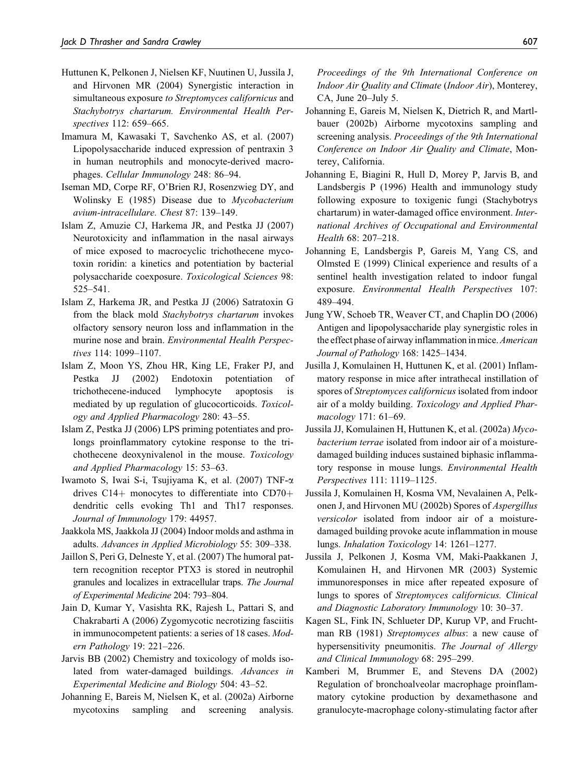- Huttunen K, Pelkonen J, Nielsen KF, Nuutinen U, Jussila J, and Hirvonen MR (2004) Synergistic interaction in simultaneous exposure to Streptomyces californicus and Stachybotrys chartarum. Environmental Health Perspectives 112: 659–665.
- Imamura M, Kawasaki T, Savchenko AS, et al. (2007) Lipopolysaccharide induced expression of pentraxin 3 in human neutrophils and monocyte-derived macrophages. Cellular Immunology 248: 86–94.
- Iseman MD, Corpe RF, O'Brien RJ, Rosenzwieg DY, and Wolinsky E (1985) Disease due to Mycobacterium avium-intracellulare. Chest 87: 139–149.
- Islam Z, Amuzie CJ, Harkema JR, and Pestka JJ (2007) Neurotoxicity and inflammation in the nasal airways of mice exposed to macrocyclic trichothecene mycotoxin roridin: a kinetics and potentiation by bacterial polysaccharide coexposure. Toxicological Sciences 98: 525–541.
- Islam Z, Harkema JR, and Pestka JJ (2006) Satratoxin G from the black mold Stachybotrys chartarum invokes olfactory sensory neuron loss and inflammation in the murine nose and brain. Environmental Health Perspectives 114: 1099–1107.
- Islam Z, Moon YS, Zhou HR, King LE, Fraker PJ, and Pestka JJ (2002) Endotoxin potentiation of trichothecene-induced lymphocyte apoptosis is mediated by up regulation of glucocorticoids. Toxicology and Applied Pharmacology 280: 43–55.
- Islam Z, Pestka JJ (2006) LPS priming potentiates and prolongs proinflammatory cytokine response to the trichothecene deoxynivalenol in the mouse. Toxicology and Applied Pharmacology 15: 53–63.
- Iwamoto S, Iwai S-i, Tsujiyama K, et al. (2007) TNF-a drives  $C14$ + monocytes to differentiate into  $CD70$ + dendritic cells evoking Th1 and Th17 responses. Journal of Immunology 179: 44957.
- Jaakkola MS, Jaakkola JJ (2004) Indoor molds and asthma in adults. Advances in Applied Microbiology 55: 309–338.
- Jaillon S, Peri G, Delneste Y, et al. (2007) The humoral pattern recognition receptor PTX3 is stored in neutrophil granules and localizes in extracellular traps. The Journal of Experimental Medicine 204: 793–804.
- Jain D, Kumar Y, Vasishta RK, Rajesh L, Pattari S, and Chakrabarti A (2006) Zygomycotic necrotizing fasciitis in immunocompetent patients: a series of 18 cases. Modern Pathology 19: 221–226.
- Jarvis BB (2002) Chemistry and toxicology of molds isolated from water-damaged buildings. Advances in Experimental Medicine and Biology 504: 43–52.
- Johanning E, Bareis M, Nielsen K, et al. (2002a) Airborne mycotoxins sampling and screening analysis.

Proceedings of the 9th International Conference on Indoor Air Quality and Climate (Indoor Air), Monterey, CA, June 20–July 5.

- Johanning E, Gareis M, Nielsen K, Dietrich R, and Martlbauer (2002b) Airborne mycotoxins sampling and screening analysis. Proceedings of the 9th International Conference on Indoor Air Quality and Climate, Monterey, California.
- Johanning E, Biagini R, Hull D, Morey P, Jarvis B, and Landsbergis P (1996) Health and immunology study following exposure to toxigenic fungi (Stachybotrys chartarum) in water-damaged office environment. International Archives of Occupational and Environmental Health 68: 207–218.
- Johanning E, Landsbergis P, Gareis M, Yang CS, and Olmsted E (1999) Clinical experience and results of a sentinel health investigation related to indoor fungal exposure. Environmental Health Perspectives 107: 489–494.
- Jung YW, Schoeb TR, Weaver CT, and Chaplin DO (2006) Antigen and lipopolysaccharide play synergistic roles in the effect phase of airway inflammation in mice. *American* Journal of Pathology 168: 1425–1434.
- Jusilla J, Komulainen H, Huttunen K, et al. (2001) Inflammatory response in mice after intrathecal instillation of spores of Streptomyces californicus isolated from indoor air of a moldy building. Toxicology and Applied Pharmacology 171: 61–69.
- Jussila JJ, Komulainen H, Huttunen K, et al. (2002a) Mycobacterium terrae isolated from indoor air of a moisturedamaged building induces sustained biphasic inflammatory response in mouse lungs. Environmental Health Perspectives 111: 1119–1125.
- Jussila J, Komulainen H, Kosma VM, Nevalainen A, Pelkonen J, and Hirvonen MU (2002b) Spores of Aspergillus versicolor isolated from indoor air of a moisturedamaged building provoke acute inflammation in mouse lungs. Inhalation Toxicology 14: 1261–1277.
- Jussila J, Pelkonen J, Kosma VM, Maki-Paakkanen J, Komulainen H, and Hirvonen MR (2003) Systemic immunoresponses in mice after repeated exposure of lungs to spores of Streptomyces californicus. Clinical and Diagnostic Laboratory Immunology 10: 30–37.
- Kagen SL, Fink IN, Schlueter DP, Kurup VP, and Fruchtman RB (1981) Streptomyces albus: a new cause of hypersensitivity pneumonitis. The Journal of Allergy and Clinical Immunology 68: 295–299.
- Kamberi M, Brummer E, and Stevens DA (2002) Regulation of bronchoalveolar macrophage proinflammatory cytokine production by dexamethasone and granulocyte-macrophage colony-stimulating factor after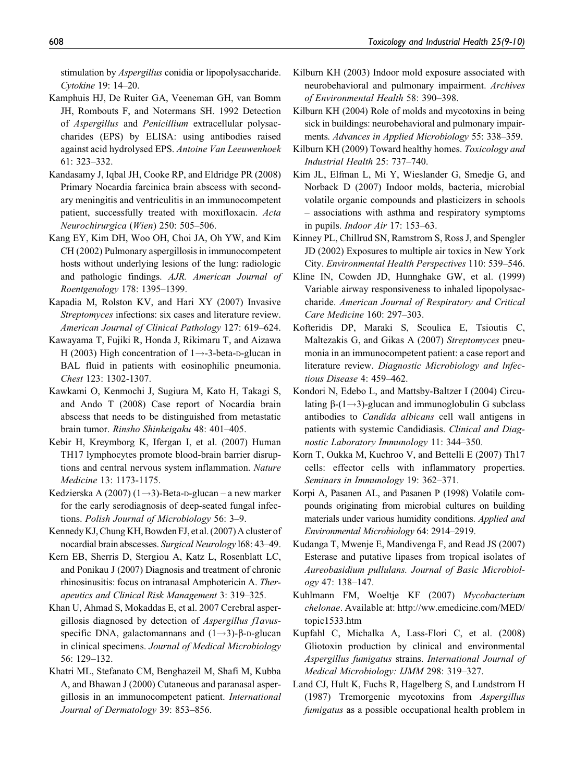stimulation by Aspergillus conidia or lipopolysaccharide. Cytokine 19: 14–20.

- Kamphuis HJ, De Ruiter GA, Veeneman GH, van Bomm JH, Rombouts F, and Notermans SH. 1992 Detection of Aspergillus and Penicillium extracellular polysaccharides (EPS) by ELISA: using antibodies raised against acid hydrolysed EPS. Antoine Van Leeuwenhoek 61: 323–332.
- Kandasamy J, Iqbal JH, Cooke RP, and Eldridge PR (2008) Primary Nocardia farcinica brain abscess with secondary meningitis and ventriculitis in an immunocompetent patient, successfully treated with moxifloxacin. Acta Neurochirurgica (Wien) 250: 505–506.
- Kang EY, Kim DH, Woo OH, Choi JA, Oh YW, and Kim CH (2002) Pulmonary aspergillosis in immunocompetent hosts without underlying lesions of the lung: radiologic and pathologic findings. AJR. American Journal of Roentgenology 178: 1395–1399.
- Kapadia M, Rolston KV, and Hari XY (2007) Invasive Streptomyces infections: six cases and literature review. American Journal of Clinical Pathology 127: 619–624.
- Kawayama T, Fujiki R, Honda J, Rikimaru T, and Aizawa H (2003) High concentration of  $1 \rightarrow -3$ -beta-p-glucan in BAL fluid in patients with eosinophilic pneumonia. Chest 123: 1302-1307.
- Kawkami O, Kenmochi J, Sugiura M, Kato H, Takagi S, and Ando T (2008) Case report of Nocardia brain abscess that needs to be distinguished from metastatic brain tumor. Rinsho Shinkeigaku 48: 401–405.
- Kebir H, Kreymborg K, Ifergan I, et al. (2007) Human TH17 lymphocytes promote blood-brain barrier disruptions and central nervous system inflammation. Nature Medicine 13: 1173-1175.
- Kedzierska A (2007) (1 $\rightarrow$ 3)-Beta-D-glucan a new marker for the early serodiagnosis of deep-seated fungal infections. Polish Journal of Microbiology 56: 3–9.
- Kennedy KJ, Chung KH, Bowden FJ, et al. (2007) A cluster of nocardial brain abscesses. Surgical Neurology l68: 43–49.
- Kern EB, Sherris D, Stergiou A, Katz L, Rosenblatt LC, and Ponikau J (2007) Diagnosis and treatment of chronic rhinosinusitis: focus on intranasal Amphotericin A. Therapeutics and Clinical Risk Management 3: 319–325.
- Khan U, Ahmad S, Mokaddas E, et al. 2007 Cerebral aspergillosis diagnosed by detection of Aspergillus f1avusspecific DNA, galactomannans and  $(1\rightarrow 3)$ - $\beta$ - $D$ -glucan in clinical specimens. Journal of Medical Microbiology 56: 129–132.
- Khatri ML, Stefanato CM, Benghazeil M, Shafi M, Kubba A, and Bhawan J (2000) Cutaneous and paranasal aspergillosis in an immunocompetent patient. International Journal of Dermatology 39: 853–856.
- Kilburn KH (2003) Indoor mold exposure associated with neurobehavioral and pulmonary impairment. Archives of Environmental Health 58: 390–398.
- Kilburn KH (2004) Role of molds and mycotoxins in being sick in buildings: neurobehavioral and pulmonary impairments. Advances in Applied Microbiology 55: 338–359.
- Kilburn KH (2009) Toward healthy homes. Toxicology and Industrial Health 25: 737–740.
- Kim JL, Elfman L, Mi Y, Wieslander G, Smedje G, and Norback D (2007) Indoor molds, bacteria, microbial volatile organic compounds and plasticizers in schools – associations with asthma and respiratory symptoms in pupils. Indoor Air 17: 153–63.
- Kinney PL, Chillrud SN, Ramstrom S, Ross J, and Spengler JD (2002) Exposures to multiple air toxics in New York City. Environmental Health Perspectives 110: 539–546.
- Kline IN, Cowden JD, Hunnghake GW, et al. (1999) Variable airway responsiveness to inhaled lipopolysaccharide. American Journal of Respiratory and Critical Care Medicine 160: 297–303.
- Kofteridis DP, Maraki S, Scoulica E, Tsioutis C, Maltezakis G, and Gikas A (2007) Streptomyces pneumonia in an immunocompetent patient: a case report and literature review. Diagnostic Microbiology and lnfectious Disease 4: 459–462.
- Kondori N, Edebo L, and Mattsby-Baltzer I (2004) Circulating  $\beta$ -(1-3)-glucan and immunoglobulin G subclass antibodies to Candida albicans cell wall antigens in patients with systemic Candidiasis. Clinical and Diagnostic Laboratory Immunology 11: 344–350.
- Korn T, Oukka M, Kuchroo V, and Bettelli E (2007) Th17 cells: effector cells with inflammatory properties. Seminars in Immunology 19: 362-371.
- Korpi A, Pasanen AL, and Pasanen P (1998) Volatile compounds originating from microbial cultures on building materials under various humidity conditions. Applied and Environmental Microbiology 64: 2914–2919.
- Kudanga T, Mwenje E, Mandivenga F, and Read JS (2007) Esterase and putative lipases from tropical isolates of Aureobasidium pullulans. Journal of Basic Microbiology 47: 138–147.
- Kuhlmann FM, Woeltje KF (2007) Mycobacterium chelonae. Available at: http://ww.emedicine.com/MED/ topic1533.htm
- Kupfahl C, Michalka A, Lass-Flori C, et al. (2008) Gliotoxin production by clinical and environmental Aspergillus fumigatus strains. International Journal of Medical Microbiology: IJMM 298: 319–327.
- Land CJ, Hult K, Fuchs R, Hagelberg S, and Lundstrom H (1987) Tremorgenic mycotoxins from Aspergillus fumigatus as a possible occupational health problem in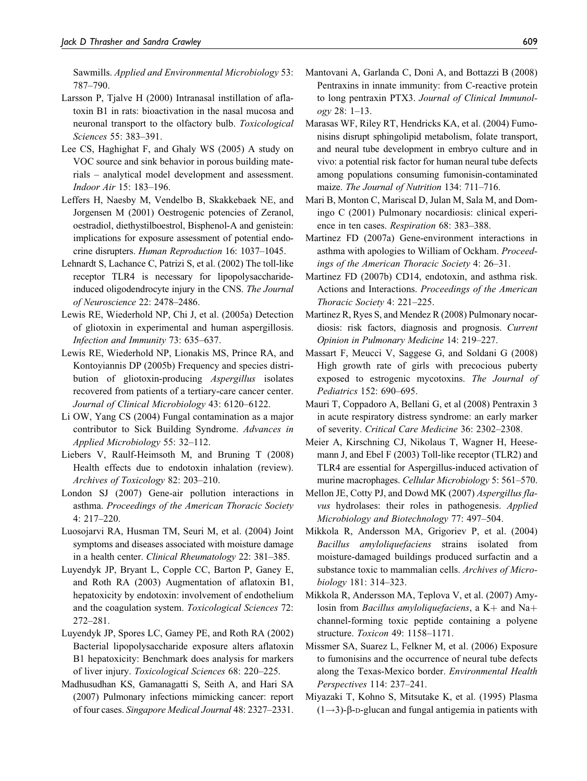Sawmills. Applied and Environmental Microbiology 53: 787–790.

- Larsson P, Tialve H (2000) Intranasal instillation of aflatoxin B1 in rats: bioactivation in the nasal mucosa and neuronal transport to the olfactory bulb. Toxicological Sciences 55: 383–391.
- Lee CS, Haghighat F, and Ghaly WS (2005) A study on VOC source and sink behavior in porous building materials – analytical model development and assessment. Indoor Air 15: 183–196.
- Leffers H, Naesby M, Vendelbo B, Skakkebaek NE, and Jorgensen M (2001) Oestrogenic potencies of Zeranol, oestradiol, diethystilboestrol, Bisphenol-A and genistein: implications for exposure assessment of potential endocrine disrupters. Human Reproduction 16: 1037–1045.
- Lehnardt S, Lachance C, Patrizi S, et al. (2002) The toll-like receptor TLR4 is necessary for lipopolysaccharideinduced oligodendrocyte injury in the CNS. The Journal of Neuroscience 22: 2478–2486.
- Lewis RE, Wiederhold NP, Chi J, et al. (2005a) Detection of gliotoxin in experimental and human aspergillosis. Infection and Immunity 73: 635–637.
- Lewis RE, Wiederhold NP, Lionakis MS, Prince RA, and Kontoyiannis DP (2005b) Frequency and species distribution of gliotoxin-producing Aspergillus isolates recovered from patients of a tertiary-care cancer center. Journal of Clinical Microbiology 43: 6120–6122.
- Li OW, Yang CS (2004) Fungal contamination as a major contributor to Sick Building Syndrome. Advances in Applied Microbiology 55: 32–112.
- Liebers V, Raulf-Heimsoth M, and Bruning T (2008) Health effects due to endotoxin inhalation (review). Archives of Toxicology 82: 203–210.
- London SJ (2007) Gene-air pollution interactions in asthma. Proceedings of the American Thoracic Society 4: 217–220.
- Luosojarvi RA, Husman TM, Seuri M, et al. (2004) Joint symptoms and diseases associated with moisture damage in a health center. Clinical Rheumatology 22: 381–385.
- Luyendyk JP, Bryant L, Copple CC, Barton P, Ganey E, and Roth RA (2003) Augmentation of aflatoxin B1, hepatoxicity by endotoxin: involvement of endothelium and the coagulation system. Toxicological Sciences 72: 272–281.
- Luyendyk JP, Spores LC, Gamey PE, and Roth RA (2002) Bacterial lipopolysaccharide exposure alters aflatoxin B1 hepatoxicity: Benchmark does analysis for markers of liver injury. Toxicological Sciences 68: 220–225.
- Madhusudhan KS, Gamanagatti S, Seith A, and Hari SA (2007) Pulmonary infections mimicking cancer: report of four cases. Singapore Medical Journal 48: 2327–2331.
- Mantovani A, Garlanda C, Doni A, and Bottazzi B (2008) Pentraxins in innate immunity: from C-reactive protein to long pentraxin PTX3. Journal of Clinical Immunology 28: 1–13.
- Marasas WF, Riley RT, Hendricks KA, et al. (2004) Fumonisins disrupt sphingolipid metabolism, folate transport, and neural tube development in embryo culture and in vivo: a potential risk factor for human neural tube defects among populations consuming fumonisin-contaminated maize. The Journal of Nutrition 134: 711–716.
- Mari B, Monton C, Mariscal D, Julan M, Sala M, and Domingo C (2001) Pulmonary nocardiosis: clinical experience in ten cases. Respiration 68: 383–388.
- Martinez FD (2007a) Gene-environment interactions in asthma with apologies to William of Ockham. Proceedings of the American Thoracic Society 4: 26–31.
- Martinez FD (2007b) CD14, endotoxin, and asthma risk. Actions and Interactions. Proceedings of the American Thoracic Society 4: 221–225.
- Martinez R, Ryes S, and Mendez R (2008) Pulmonary nocardiosis: risk factors, diagnosis and prognosis. Current Opinion in Pulmonary Medicine 14: 219–227.
- Massart F, Meucci V, Saggese G, and Soldani G (2008) High growth rate of girls with precocious puberty exposed to estrogenic mycotoxins. The Journal of Pediatrics 152: 690–695.
- Mauri T, Coppadoro A, Bellani G, et al (2008) Pentraxin 3 in acute respiratory distress syndrome: an early marker of severity. Critical Care Medicine 36: 2302–2308.
- Meier A, Kirschning CJ, Nikolaus T, Wagner H, Heesemann J, and Ebel F (2003) Toll-like receptor (TLR2) and TLR4 are essential for Aspergillus-induced activation of murine macrophages. Cellular Microbiology 5: 561–570.
- Mellon JE, Cotty PJ, and Dowd MK (2007) Aspergillus flavus hydrolases: their roles in pathogenesis. Applied Microbiology and Biotechnology 77: 497–504.
- Mikkola R, Andersson MA, Grigoriev P, et al. (2004) Bacillus amyloliquefaciens strains isolated from moisture-damaged buildings produced surfactin and a substance toxic to mammalian cells. Archives of Microbiology 181: 314–323.
- Mikkola R, Andersson MA, Teplova V, et al. (2007) Amylosin from *Bacillus amyloliquefaciens*, a  $K+$  and Na+ channel-forming toxic peptide containing a polyene structure. Toxicon 49: 1158–1171.
- Missmer SA, Suarez L, Felkner M, et al. (2006) Exposure to fumonisins and the occurrence of neural tube defects along the Texas-Mexico border. Environmental Health Perspectives 114: 237–241.
- Miyazaki T, Kohno S, Mitsutake K, et al. (1995) Plasma  $(1\rightarrow 3)$ -B-D-glucan and fungal antigemia in patients with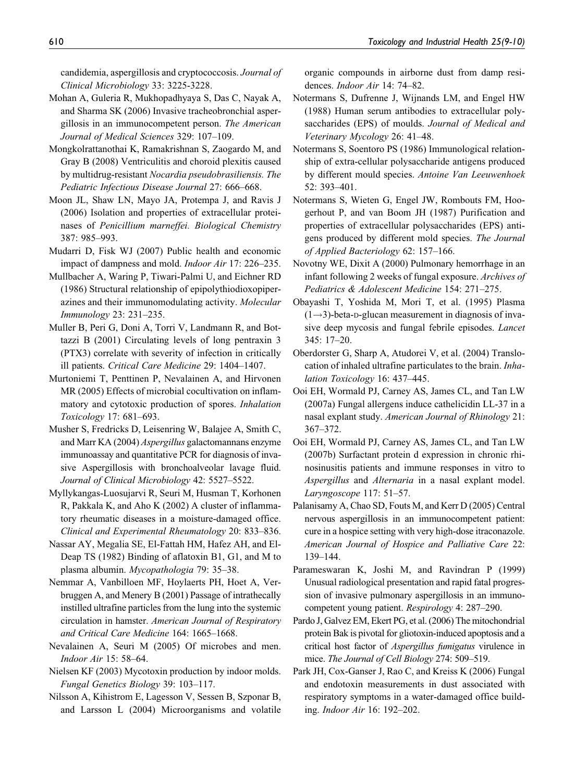candidemia, aspergillosis and cryptococcosis. Journal of Clinical Microbiology 33: 3225-3228.

- Mohan A, Guleria R, Mukhopadhyaya S, Das C, Nayak A, and Sharma SK (2006) Invasive tracheobronchial aspergillosis in an immunocompetent person. The American Journal of Medical Sciences 329: 107–109.
- Mongkolrattanothai K, Ramakrishnan S, Zaogardo M, and Gray B (2008) Ventriculitis and choroid plexitis caused by multidrug-resistant Nocardia pseudobrasiliensis. The Pediatric Infectious Disease Journal 27: 666–668.
- Moon JL, Shaw LN, Mayo JA, Protempa J, and Ravis J (2006) Isolation and properties of extracellular proteinases of Penicillium marneffei. Biological Chemistry 387: 985–993.
- Mudarri D, Fisk WJ (2007) Public health and economic impact of dampness and mold. Indoor Air 17: 226–235.
- Mullbacher A, Waring P, Tiwari-Palmi U, and Eichner RD (1986) Structural relationship of epipolythiodioxopiperazines and their immunomodulating activity. Molecular Immunology 23: 231–235.
- Muller B, Peri G, Doni A, Torri V, Landmann R, and Bottazzi B (2001) Circulating levels of long pentraxin 3 (PTX3) correlate with severity of infection in critically ill patients. Critical Care Medicine 29: 1404–1407.
- Murtoniemi T, Penttinen P, Nevalainen A, and Hirvonen MR (2005) Effects of microbial cocultivation on inflammatory and cytotoxic production of spores. Inhalation Toxicology 17: 681–693.
- Musher S, Fredricks D, Leisenring W, Balajee A, Smith C, and Marr KA (2004) Aspergillus galactomannans enzyme immunoassay and quantitative PCR for diagnosis of invasive Aspergillosis with bronchoalveolar lavage fluid. Journal of Clinical Microbiology 42: 5527–5522.
- Myllykangas-Luosujarvi R, Seuri M, Husman T, Korhonen R, Pakkala K, and Aho K (2002) A cluster of inflammatory rheumatic diseases in a moisture-damaged office. Clinical and Experimental Rheumatology 20: 833–836.
- Nassar AY, Megalia SE, El-Fattah HM, Hafez AH, and El-Deap TS (1982) Binding of aflatoxin B1, G1, and M to plasma albumin. Mycopathologia 79: 35–38.
- Nemmar A, Vanbilloen MF, Hoylaerts PH, Hoet A, Verbruggen A, and Menery B (2001) Passage of intrathecally instilled ultrafine particles from the lung into the systemic circulation in hamster. American Journal of Respiratory and Critical Care Medicine 164: 1665–1668.
- Nevalainen A, Seuri M (2005) Of microbes and men. Indoor Air 15: 58–64.
- Nielsen KF (2003) Mycotoxin production by indoor molds. Fungal Genetics Biology 39: 103–117.
- Nilsson A, Kihistrom E, Lagesson V, Sessen B, Szponar B, and Larsson L (2004) Microorganisms and volatile

organic compounds in airborne dust from damp residences. Indoor Air 14: 74–82.

- Notermans S, Dufrenne J, Wijnands LM, and Engel HW (1988) Human serum antibodies to extracellular polysaccharides (EPS) of moulds. Journal of Medical and Veterinary Mycology 26: 41–48.
- Notermans S, Soentoro PS (1986) Immunological relationship of extra-cellular polysaccharide antigens produced by different mould species. Antoine Van Leeuwenhoek 52: 393–401.
- Notermans S, Wieten G, Engel JW, Rombouts FM, Hoogerhout P, and van Boom JH (1987) Purification and properties of extracellular polysaccharides (EPS) antigens produced by different mold species. The Journal of Applied Bacteriology 62: 157–166.
- Novotny WE, Dixit A (2000) Pulmonary hemorrhage in an infant following 2 weeks of fungal exposure. Archives of Pediatrics & Adolescent Medicine 154: 271–275.
- Obayashi T, Yoshida M, Mori T, et al. (1995) Plasma  $(1 \rightarrow 3)$ -beta-D-glucan measurement in diagnosis of invasive deep mycosis and fungal febrile episodes. Lancet 345: 17–20.
- Oberdorster G, Sharp A, Atudorei V, et al. (2004) Translocation of inhaled ultrafine particulates to the brain. Inhalation Toxicology 16: 437–445.
- Ooi EH, Wormald PJ, Carney AS, James CL, and Tan LW (2007a) Fungal allergens induce cathelicidin LL-37 in a nasal explant study. American Journal of Rhinology 21: 367–372.
- Ooi EH, Wormald PJ, Carney AS, James CL, and Tan LW (2007b) Surfactant protein d expression in chronic rhinosinusitis patients and immune responses in vitro to Aspergillus and Alternaria in a nasal explant model. Laryngoscope 117: 51–57.
- Palanisamy A, Chao SD, Fouts M, and Kerr D (2005) Central nervous aspergillosis in an immunocompetent patient: cure in a hospice setting with very high-dose itraconazole. American Journal of Hospice and Palliative Care 22: 139–144.
- Parameswaran K, Joshi M, and Ravindran P (1999) Unusual radiological presentation and rapid fatal progression of invasive pulmonary aspergillosis in an immunocompetent young patient. Respirology 4: 287–290.
- Pardo J, Galvez EM, Ekert PG, et al. (2006) The mitochondrial protein Bak is pivotal for gliotoxin-induced apoptosis and a critical host factor of Aspergillus fumigatus virulence in mice. The Journal of Cell Biology 274: 509–519.
- Park JH, Cox-Ganser J, Rao C, and Kreiss K (2006) Fungal and endotoxin measurements in dust associated with respiratory symptoms in a water-damaged office building. Indoor Air 16: 192–202.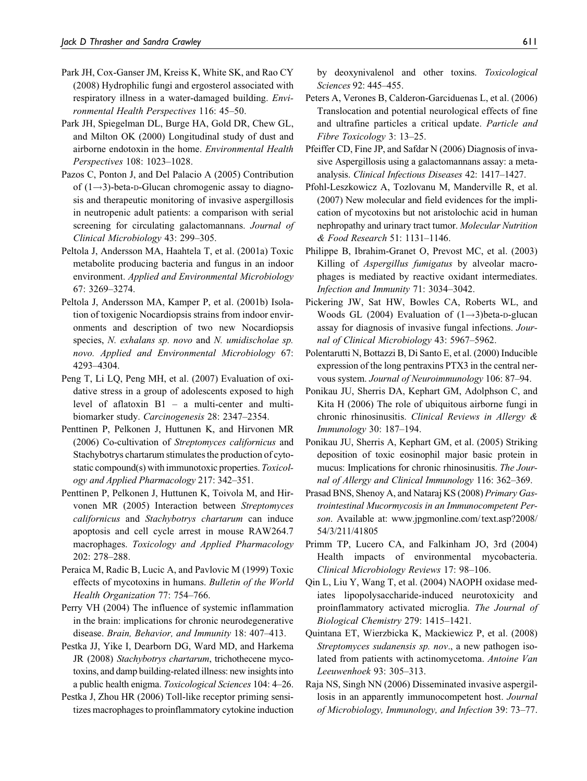- Park JH, Cox-Ganser JM, Kreiss K, White SK, and Rao CY (2008) Hydrophilic fungi and ergosterol associated with respiratory illness in a water-damaged building. Environmental Health Perspectives 116: 45–50.
- Park JH, Spiegelman DL, Burge HA, Gold DR, Chew GL, and Milton OK (2000) Longitudinal study of dust and airborne endotoxin in the home. Environmental Health Perspectives 108: 1023–1028.
- Pazos C, Ponton J, and Del Palacio A (2005) Contribution of  $(1\rightarrow 3)$ -beta-D-Glucan chromogenic assay to diagnosis and therapeutic monitoring of invasive aspergillosis in neutropenic adult patients: a comparison with serial screening for circulating galactomannans. Journal of Clinical Microbiology 43: 299–305.
- Peltola J, Andersson MA, Haahtela T, et al. (2001a) Toxic metabolite producing bacteria and fungus in an indoor environment. Applied and Environmental Microbiology 67: 3269–3274.
- Peltola J, Andersson MA, Kamper P, et al. (2001b) Isolation of toxigenic Nocardiopsis strains from indoor environments and description of two new Nocardiopsis species, N. exhalans sp. novo and N. umidischolae sp. novo. Applied and Environmental Microbiology 67: 4293–4304.
- Peng T, Li LQ, Peng MH, et al. (2007) Evaluation of oxidative stress in a group of adolescents exposed to high level of aflatoxin B1 – a multi-center and multibiomarker study. Carcinogenesis 28: 2347–2354.
- Penttinen P, Pelkonen J, Huttunen K, and Hirvonen MR (2006) Co-cultivation of Streptomyces californicus and Stachybotrys chartarum stimulates the production of cytostatic compound(s) with immunotoxic properties. Toxicology and Applied Pharmacology 217: 342–351.
- Penttinen P, Pelkonen J, Huttunen K, Toivola M, and Hirvonen MR (2005) Interaction between Streptomyces californicus and Stachybotrys chartarum can induce apoptosis and cell cycle arrest in mouse RAW264.7 macrophages. Toxicology and Applied Pharmacology 202: 278–288.
- Peraica M, Radic B, Lucic A, and Pavlovic M (1999) Toxic effects of mycotoxins in humans. Bulletin of the World Health Organization 77: 754–766.
- Perry VH (2004) The influence of systemic inflammation in the brain: implications for chronic neurodegenerative disease. Brain, Behavior, and Immunity 18: 407–413.
- Pestka JJ, Yike I, Dearborn DG, Ward MD, and Harkema JR (2008) Stachybotrys chartarum, trichothecene mycotoxins, and damp building-related illness: new insights into a public health enigma. Toxicological Sciences 104: 4–26.
- Pestka J, Zhou HR (2006) Toll-like receptor priming sensitizes macrophages to proinflammatory cytokine induction

by deoxynivalenol and other toxins. Toxicological Sciences 92: 445–455.

- Peters A, Verones B, Calderon-Garciduenas L, et al. (2006) Translocation and potential neurological effects of fine and ultrafine particles a critical update. Particle and Fibre Toxicology 3: 13–25.
- Pfeiffer CD, Fine JP, and Safdar N (2006) Diagnosis of invasive Aspergillosis using a galactomannans assay: a metaanalysis. Clinical Infectious Diseases 42: 1417–1427.
- Pfohl-Leszkowicz A, Tozlovanu M, Manderville R, et al. (2007) New molecular and field evidences for the implication of mycotoxins but not aristolochic acid in human nephropathy and urinary tract tumor. Molecular Nutrition & Food Research 51: 1131–1146.
- Philippe B, Ibrahim-Granet O, Prevost MC, et al. (2003) Killing of *Aspergillus fumigatus* by alveolar macrophages is mediated by reactive oxidant intermediates. Infection and Immunity 71: 3034–3042.
- Pickering JW, Sat HW, Bowles CA, Roberts WL, and Woods GL (2004) Evaluation of  $(1\rightarrow 3)$ beta-D-glucan assay for diagnosis of invasive fungal infections. Journal of Clinical Microbiology 43: 5967–5962.
- Polentarutti N, Bottazzi B, Di Santo E, et al. (2000) Inducible expression of the long pentraxins PTX3 in the central nervous system. Journal of Neuroimmunology 106: 87–94.
- Ponikau JU, Sherris DA, Kephart GM, Adolphson C, and Kita H (2006) The role of ubiquitous airborne fungi in chronic rhinosinusitis. Clinical Reviews in Allergy & Immunology 30: 187–194.
- Ponikau JU, Sherris A, Kephart GM, et al. (2005) Striking deposition of toxic eosinophil major basic protein in mucus: Implications for chronic rhinosinusitis. The Journal of Allergy and Clinical Immunology 116: 362–369.
- Prasad BNS, Shenoy A, and Nataraj KS (2008) Primary Gastrointestinal Mucormycosis in an Immunocompetent Person. Available at: www.jpgmonline.com/text.asp?2008/ 54/3/211/41805
- Primm TP, Lucero CA, and Falkinham JO, 3rd (2004) Health impacts of environmental mycobacteria. Clinical Microbiology Reviews 17: 98–106.
- Qin L, Liu Y, Wang T, et al. (2004) NAOPH oxidase mediates lipopolysaccharide-induced neurotoxicity and proinflammatory activated microglia. The Journal of Biological Chemistry 279: 1415–1421.
- Quintana ET, Wierzbicka K, Mackiewicz P, et al. (2008) Streptomyces sudanensis sp. nov., a new pathogen isolated from patients with actinomycetoma. Antoine Van Leeuwenhoek 93: 305–313.
- Raja NS, Singh NN (2006) Disseminated invasive aspergillosis in an apparently immunocompetent host. Journal of Microbiology, Immunology, and Infection 39: 73–77.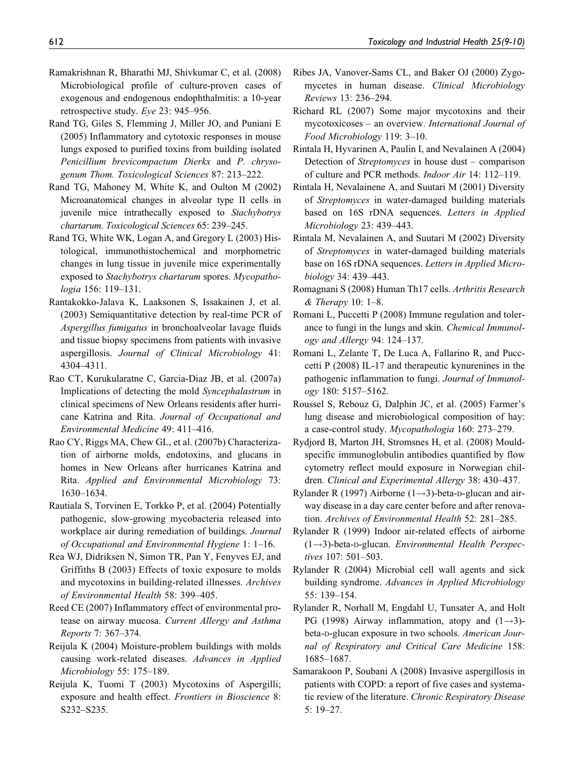- Ramakrishnan R, Bharathi MJ, Shivkumar C, et al. (2008) Microbiological profile of culture-proven cases of exogenous and endogenous endophthalmitis: a 10-year retrospective study. Eye 23: 945–956.
- Rand TG, Giles S, Flemming J, Miller JO, and Puniani E (2005) Inflammatory and cytotoxic responses in mouse lungs exposed to purified toxins from building isolated Penicillium brevicompactum Dierkx and P. chrysogenum Thom. Toxicological Sciences 87: 213–222.
- Rand TG, Mahoney M, White K, and Oulton M (2002) Microanatomical changes in alveolar type II cells in juvenile mice intrathecally exposed to Stachybotrys chartarum. Toxicological Sciences 65: 239–245.
- Rand TG, White WK, Logan A, and Gregory L (2003) Histological, immunothistochemical and morphometric changes in lung tissue in juvenile mice experimentally exposed to Stachybotrys chartarum spores. Mycopathologia 156: 119–131.
- Rantakokko-Jalava K, Laaksonen S, Issakainen J, et al. (2003) Semiquantitative detection by real-time PCR of Aspergillus fumigatus in bronchoalveolar lavage fluids and tissue biopsy specimens from patients with invasive aspergillosis. Journal of Clinical Microbiology 41: 4304–4311.
- Rao CT, Kurukularatne C, Garcia-Diaz JB, et al. (2007a) Implications of detecting the mold Syncephalastrum in clinical specimens of New Orleans residents after hurricane Katrina and Rita. Journal of Occupational and Environmental Medicine 49: 411–416.
- Rao CY, Riggs MA, Chew GL, et al. (2007b) Characterization of airborne molds, endotoxins, and glucans in homes in New Orleans after hurricanes Katrina and Rita. Applied and Environmental Microbiology 73: 1630–1634.
- Rautiala S, Torvinen E, Torkko P, et al. (2004) Potentially pathogenic, slow-growing mycobacteria released into workplace air during remediation of buildings. Journal of Occupational and Environmental Hygiene 1: 1–16.
- Rea WJ, Didriksen N, Simon TR, Pan Y, Fenyves EJ, and Griffiths B (2003) Effects of toxic exposure to molds and mycotoxins in building-related illnesses. Archives of Environmental Health 58: 399–405.
- Reed CE (2007) Inflammatory effect of environmental protease on airway mucosa. Current Allergy and Asthma Reports 7: 367–374.
- Reijula K (2004) Moisture-problem buildings with molds causing work-related diseases. Advances in Applied Microbiology 55: 175–189.
- Reijula K, Tuomi T (2003) Mycotoxins of Aspergilli; exposure and health effect. Frontiers in Bioscience 8: S232–S235.
- Ribes JA, Vanover-Sams CL, and Baker OJ (2000) Zygomycetes in human disease. Clinical Microbiology Reviews 13: 236–294.
- Richard RL (2007) Some major mycotoxins and their mycotoxicoses – an overview. International Journal of Food Microbiology 119: 3–10.
- Rintala H, Hyvarinen A, Paulin I, and Nevalainen A (2004) Detection of Streptomyces in house dust – comparison of culture and PCR methods. Indoor Air 14: 112–119.
- Rintala H, Nevalainene A, and Suutari M (2001) Diversity of Streptomyces in water-damaged building materials based on 16S rDNA sequences. Letters in Applied Microbiology 23: 439–443.
- Rintala M, Nevalainen A, and Suutari M (2002) Diversity of Streptomyces in water-damaged building materials base on 16S rDNA sequences. Letters in Applied Microbiology 34: 439–443.
- Romagnani S (2008) Human Th17 cells. Arthritis Research  $&$  Therapy 10: 1–8.
- Romani L, Puccetti P (2008) Immune regulation and tolerance to fungi in the lungs and skin. Chemical Immunology and Allergy 94: 124–137.
- Romani L, Zelante T, De Luca A, Fallarino R, and Pucccetti P (2008) IL-17 and therapeutic kynurenines in the pathogenic inflammation to fungi. Journal of Immunology 180: 5157–5162.
- Roussel S, Rebouz G, Dalphin JC, et al. (2005) Farmer's lung disease and microbiological composition of hay: a case-control study. Mycopathologia 160: 273–279.
- Rydjord B, Marton JH, Stromsnes H, et al. (2008) Mouldspecific immunoglobulin antibodies quantified by flow cytometry reflect mould exposure in Norwegian children. Clinical and Experimental Allergy 38: 430–437.
- Rylander R (1997) Airborne (1 $\rightarrow$ 3)-beta-p-glucan and airway disease in a day care center before and after renovation. Archives of Environmental Health 52: 281–285.
- Rylander R (1999) Indoor air-related effects of airborne  $(1\rightarrow 3)$ -beta-D-glucan. Environmental Health Perspectives 107: 501–503.
- Rylander R (2004) Microbial cell wall agents and sick building syndrome. Advances in Applied Microbiology 55: 139–154.
- Rylander R, Norhall M, Engdahl U, Tunsater A, and Holt PG (1998) Airway inflammation, atopy and  $(1\rightarrow 3)$ beta-D-glucan exposure in two schools. American Journal of Respiratory and Critical Care Medicine 158: 1685–1687.
- Samarakoon P, Soubani A (2008) Invasive aspergillosis in patients with COPD: a report of five cases and systematic review of the literature. Chronic Respiratory Disease 5: 19–27.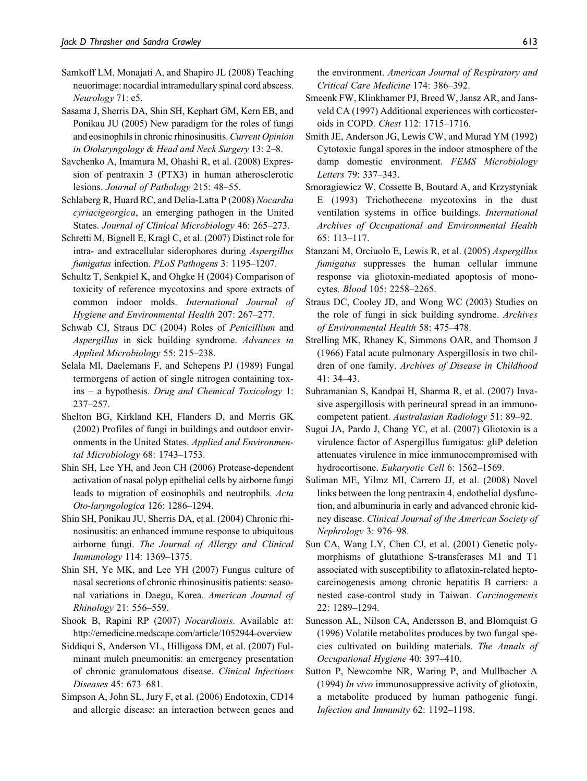Samkoff LM, Monajati A, and Shapiro JL (2008) Teaching neuorimage: nocardial intramedullary spinal cord abscess. Neurology 71: e5.

Sasama J, Sherris DA, Shin SH, Kephart GM, Kern EB, and Ponikau JU (2005) New paradigm for the roles of fungi and eosinophils in chronic rhinosinusitis. Current Opinion in Otolaryngology & Head and Neck Surgery 13: 2–8.

- Savchenko A, Imamura M, Ohashi R, et al. (2008) Expression of pentraxin 3 (PTX3) in human atherosclerotic lesions. Journal of Pathology 215: 48–55.
- Schlaberg R, Huard RC, and Delia-Latta P (2008) Nocardia cyriacigeorgica, an emerging pathogen in the United States. Journal of Clinical Microbiology 46: 265–273.
- Schretti M, Bignell E, Kragl C, et al. (2007) Distinct role for intra- and extracellular siderophores during Aspergillus fumigatus infection. PLoS Pathogens 3: 1195–1207.
- Schultz T, Senkpiel K, and Ohgke H (2004) Comparison of toxicity of reference mycotoxins and spore extracts of common indoor molds. International Journal of Hygiene and Environmental Health 207: 267–277.
- Schwab CJ, Straus DC (2004) Roles of Penicillium and Aspergillus in sick building syndrome. Advances in Applied Microbiology 55: 215–238.
- Selala Ml, Daelemans F, and Schepens PJ (1989) Fungal termorgens of action of single nitrogen containing toxins – a hypothesis. Drug and Chemical Toxicology 1: 237–257.
- Shelton BG, Kirkland KH, Flanders D, and Morris GK (2002) Profiles of fungi in buildings and outdoor environments in the United States. Applied and Environmental Microbiology 68: 1743–1753.
- Shin SH, Lee YH, and Jeon CH (2006) Protease-dependent activation of nasal polyp epithelial cells by airborne fungi leads to migration of eosinophils and neutrophils. Acta Oto-laryngologica 126: 1286–1294.
- Shin SH, Ponikau JU, Sherris DA, et al. (2004) Chronic rhinosinusitis: an enhanced immune response to ubiquitous airborne fungi. The Journal of Allergy and Clinical Immunology 114: 1369–1375.
- Shin SH, Ye MK, and Lee YH (2007) Fungus culture of nasal secretions of chronic rhinosinusitis patients: seasonal variations in Daegu, Korea. American Journal of Rhinology 21: 556–559.
- Shook B, Rapini RP (2007) Nocardiosis. Available at: http://emedicine.medscape.com/article/1052944-overview
- Siddiqui S, Anderson VL, Hilligoss DM, et al. (2007) Fulminant mulch pneumonitis: an emergency presentation of chronic granulomatous disease. Clinical Infectious Diseases 45: 673–681.
- Simpson A, John SL, Jury F, et al. (2006) Endotoxin, CD14 and allergic disease: an interaction between genes and

the environment. American Journal of Respiratory and Critical Care Medicine 174: 386–392.

- Smeenk FW, Klinkhamer PJ, Breed W, Jansz AR, and Jansveld CA (1997) Additional experiences with corticosteroids in COPD. Chest 112: 1715–1716.
- Smith JE, Anderson JG, Lewis CW, and Murad YM (1992) Cytotoxic fungal spores in the indoor atmosphere of the damp domestic environment. FEMS Microbiology Letters 79: 337–343.
- Smoragiewicz W, Cossette B, Boutard A, and Krzystyniak E (1993) Trichothecene mycotoxins in the dust ventilation systems in office buildings. International Archives of Occupational and Environmental Health 65: 113–117.
- Stanzani M, Orciuolo E, Lewis R, et al. (2005) Aspergillus fumigatus suppresses the human cellular immune response via gliotoxin-mediated apoptosis of monocytes. Blood 105: 2258–2265.
- Straus DC, Cooley JD, and Wong WC (2003) Studies on the role of fungi in sick building syndrome. Archives of Environmental Health 58: 475–478.
- Strelling MK, Rhaney K, Simmons OAR, and Thomson J (1966) Fatal acute pulmonary Aspergillosis in two children of one family. Archives of Disease in Childhood 41: 34–43.
- Subramanian S, Kandpai H, Sharma R, et al. (2007) Invasive aspergillosis with perineural spread in an immunocompetent patient. Australasian Radiology 51: 89–92.
- Sugui JA, Pardo J, Chang YC, et al. (2007) Gliotoxin is a virulence factor of Aspergillus fumigatus: gliP deletion attenuates virulence in mice immunocompromised with hydrocortisone. Eukaryotic Cell 6: 1562–1569.
- Suliman ME, Yilmz MI, Carrero JJ, et al. (2008) Novel links between the long pentraxin 4, endothelial dysfunction, and albuminuria in early and advanced chronic kidney disease. Clinical Journal of the American Society of Nephrology 3: 976–98.
- Sun CA, Wang LY, Chen CJ, et al. (2001) Genetic polymorphisms of glutathione S-transferases M1 and T1 associated with susceptibility to aflatoxin-related heptocarcinogenesis among chronic hepatitis B carriers: a nested case-control study in Taiwan. Carcinogenesis 22: 1289–1294.
- Sunesson AL, Nilson CA, Andersson B, and Blomquist G (1996) Volatile metabolites produces by two fungal species cultivated on building materials. The Annals of Occupational Hygiene 40: 397–410.
- Sutton P, Newcombe NR, Waring P, and Mullbacher A (1994) In vivo immunosuppressive activity of gliotoxin, a metabolite produced by human pathogenic fungi. Infection and Immunity 62: 1192–1198.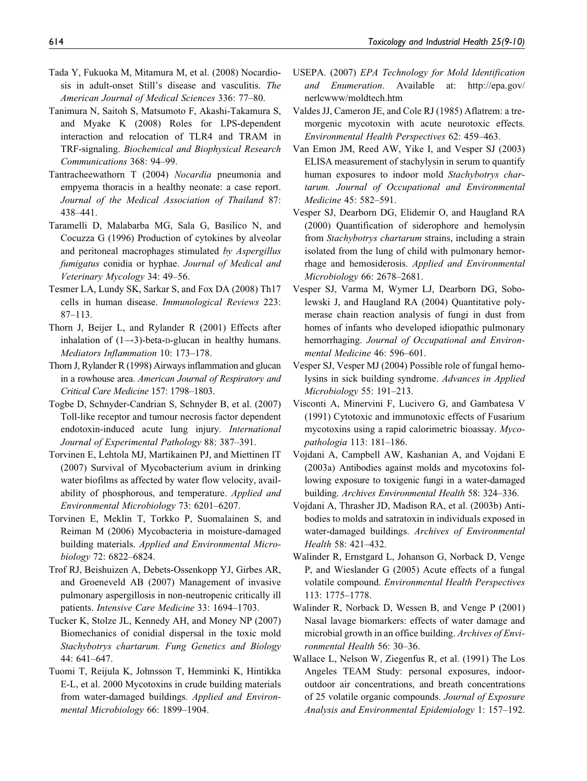- Tada Y, Fukuoka M, Mitamura M, et al. (2008) Nocardiosis in adult-onset Still's disease and vasculitis. The American Journal of Medical Sciences 336: 77–80.
- Tanimura N, Saitoh S, Matsumoto F, Akashi-Takamura S, and Myake K (2008) Roles for LPS-dependent interaction and relocation of TLR4 and TRAM in TRF-signaling. Biochemical and Biophysical Research Communications 368: 94–99.
- Tantracheewathorn T (2004) Nocardia pneumonia and empyema thoracis in a healthy neonate: a case report. Journal of the Medical Association of Thailand 87: 438–441.
- Taramelli D, Malabarba MG, Sala G, Basilico N, and Cocuzza G (1996) Production of cytokines by alveolar and peritoneal macrophages stimulated by Aspergillus fumigatus conidia or hyphae. Journal of Medical and Veterinary Mycology 34: 49–56.
- Tesmer LA, Lundy SK, Sarkar S, and Fox DA (2008) Th17 cells in human disease. Immunological Reviews 223: 87–113.
- Thorn J, Beijer L, and Rylander R (2001) Effects after inhalation of  $(1\rightarrow 3)$ -beta-D-glucan in healthy humans. Mediators Inflammation 10: 173–178.
- Thorn J, Rylander R (1998) Airways inflammation and glucan in a rowhouse area. American Journal of Respiratory and Critical Care Medicine 157: 1798–1803.
- Togbe D, Schnyder-Candrian S, Schnyder B, et al. (2007) Toll-like receptor and tumour necrosis factor dependent endotoxin-induced acute lung injury. International Journal of Experimental Pathology 88: 387–391.
- Torvinen E, Lehtola MJ, Martikainen PJ, and Miettinen IT (2007) Survival of Mycobacterium avium in drinking water biofilms as affected by water flow velocity, availability of phosphorous, and temperature. Applied and Environmental Microbiology 73: 6201–6207.
- Torvinen E, Meklin T, Torkko P, Suomalainen S, and Reiman M (2006) Mycobacteria in moisture-damaged building materials. Applied and Environmental Microbiology 72: 6822–6824.
- Trof RJ, Beishuizen A, Debets-Ossenkopp YJ, Girbes AR, and Groeneveld AB (2007) Management of invasive pulmonary aspergillosis in non-neutropenic critically ill patients. Intensive Care Medicine 33: 1694–1703.
- Tucker K, Stolze JL, Kennedy AH, and Money NP (2007) Biomechanics of conidial dispersal in the toxic mold Stachybotrys chartarum. Fung Genetics and Biology 44: 641–647.
- Tuomi T, Reijula K, Johnsson T, Hemminki K, Hintikka E-L, et al. 2000 Mycotoxins in crude building materials from water-damaged buildings. Applied and Environmental Microbiology 66: 1899–1904.
- USEPA. (2007) EPA Technology for Mold Identification and Enumeration. Available at: http://epa.gov/ nerlcwww/moldtech.htm
- Valdes JJ, Cameron JE, and Cole RJ (1985) Aflatrem: a tremorgenic mycotoxin with acute neurotoxic effects. Environmental Health Perspectives 62: 459–463.
- Van Emon JM, Reed AW, Yike I, and Vesper SJ (2003) ELISA measurement of stachylysin in serum to quantify human exposures to indoor mold Stachybotrys chartarum. Journal of Occupational and Environmental Medicine 45: 582–591.
- Vesper SJ, Dearborn DG, Elidemir O, and Haugland RA (2000) Quantification of siderophore and hemolysin from Stachybotrys chartarum strains, including a strain isolated from the lung of child with pulmonary hemorrhage and hemosiderosis. Applied and Environmental Microbiology 66: 2678–2681.
- Vesper SJ, Varma M, Wymer LJ, Dearborn DG, Sobolewski J, and Haugland RA (2004) Quantitative polymerase chain reaction analysis of fungi in dust from homes of infants who developed idiopathic pulmonary hemorrhaging. Journal of Occupational and Environmental Medicine 46: 596–601.
- Vesper SJ, Vesper MJ (2004) Possible role of fungal hemolysins in sick building syndrome. Advances in Applied Microbiology 55: 191–213.
- Visconti A, Minervini F, Lucivero G, and Gambatesa V (1991) Cytotoxic and immunotoxic effects of Fusarium mycotoxins using a rapid calorimetric bioassay. Mycopathologia 113: 181–186.
- Vojdani A, Campbell AW, Kashanian A, and Vojdani E (2003a) Antibodies against molds and mycotoxins following exposure to toxigenic fungi in a water-damaged building. Archives Environmental Health 58: 324–336.
- Vojdani A, Thrasher JD, Madison RA, et al. (2003b) Antibodies to molds and satratoxin in individuals exposed in water-damaged buildings. Archives of Environmental Health 58: 421–432.
- Walinder R, Ernstgard L, Johanson G, Norback D, Venge P, and Wieslander G (2005) Acute effects of a fungal volatile compound. Environmental Health Perspectives 113: 1775–1778.
- Walinder R, Norback D, Wessen B, and Venge P (2001) Nasal lavage biomarkers: effects of water damage and microbial growth in an office building. Archives of Environmental Health 56: 30–36.
- Wallace L, Nelson W, Ziegenfus R, et al. (1991) The Los Angeles TEAM Study: personal exposures, indooroutdoor air concentrations, and breath concentrations of 25 volatile organic compounds. Journal of Exposure Analysis and Environmental Epidemiology 1: 157–192.